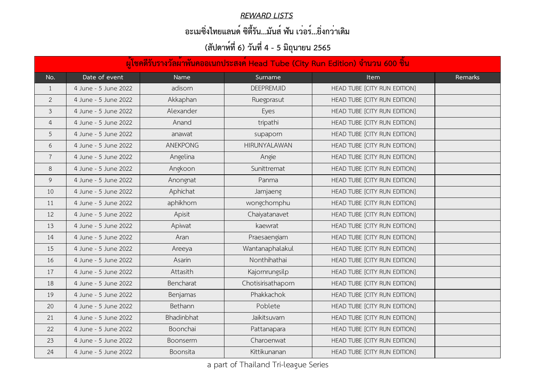|                | ้ผู้โชคดีรับรางวัลผ <sup>้</sup> าพันคออเนกประสงค <sup>์</sup> Head Tube (City Run Edition) จำนวน 600 ชิ้น |                 |                     |                              |         |  |  |
|----------------|------------------------------------------------------------------------------------------------------------|-----------------|---------------------|------------------------------|---------|--|--|
| No.            | Date of event                                                                                              | <b>Name</b>     | Surname             | <b>Item</b>                  | Remarks |  |  |
| $\perp$        | 4 June - 5 June 2022                                                                                       | adisorn         | <b>DEEPREMJID</b>   | HEAD TUBE [CITY RUN EDITION] |         |  |  |
| $\mathbf{2}$   | 4 June - 5 June 2022                                                                                       | Akkaphan        | Ruegprasut          | HEAD TUBE [CITY RUN EDITION] |         |  |  |
| $\mathfrak{Z}$ | 4 June - 5 June 2022                                                                                       | Alexander       | Eyes                | HEAD TUBE [CITY RUN EDITION] |         |  |  |
| 4              | 4 June - 5 June 2022                                                                                       | Anand           | tripathi            | HEAD TUBE [CITY RUN EDITION] |         |  |  |
| 5              | 4 June - 5 June 2022                                                                                       | anawat          | supaporn            | HEAD TUBE [CITY RUN EDITION] |         |  |  |
| 6              | 4 June - 5 June 2022                                                                                       | <b>ANEKPONG</b> | <b>HIRUNYALAWAN</b> | HEAD TUBE [CITY RUN EDITION] |         |  |  |
|                | 4 June - 5 June 2022                                                                                       | Angelina        | Angie               | HEAD TUBE [CITY RUN EDITION] |         |  |  |
| 8              | 4 June - 5 June 2022                                                                                       | Angkoon         | Sunittremat         | HEAD TUBE [CITY RUN EDITION] |         |  |  |
| 9              | 4 June - 5 June 2022                                                                                       | Anongnat        | Panma               | HEAD TUBE [CITY RUN EDITION] |         |  |  |
| 10             | 4 June - 5 June 2022                                                                                       | Aphichat        | Jamjaeng            | HEAD TUBE [CITY RUN EDITION] |         |  |  |
| 11             | 4 June - 5 June 2022                                                                                       | aphikhom        | wongchomphu         | HEAD TUBE [CITY RUN EDITION] |         |  |  |
| 12             | 4 June - 5 June 2022                                                                                       | Apisit          | Chaiyatanavet       | HEAD TUBE [CITY RUN EDITION] |         |  |  |
| 13             | 4 June - 5 June 2022                                                                                       | Apiwat          | kaewrat             | HEAD TUBE [CITY RUN EDITION] |         |  |  |
| 14             | 4 June - 5 June 2022                                                                                       | Aran            | Praesaengiam        | HEAD TUBE [CITY RUN EDITION] |         |  |  |
| 15             | 4 June - 5 June 2022                                                                                       | Areeya          | Wantanaphalakul     | HEAD TUBE [CITY RUN EDITION] |         |  |  |
| 16             | 4 June - 5 June 2022                                                                                       | Asarin          | Nonthihathai        | HEAD TUBE [CITY RUN EDITION] |         |  |  |
| 17             | 4 June - 5 June 2022                                                                                       | Attasith        | Kajornrungsilp      | HEAD TUBE [CITY RUN EDITION] |         |  |  |
| 18             | 4 June - 5 June 2022                                                                                       | Bencharat       | Chotisirisathaporn  | HEAD TUBE [CITY RUN EDITION] |         |  |  |
| 19             | 4 June - 5 June 2022                                                                                       | Benjamas        | Phakkachok          | HEAD TUBE [CITY RUN EDITION] |         |  |  |
| 20             | 4 June - 5 June 2022                                                                                       | Bethann         | Poblete             | HEAD TUBE [CITY RUN EDITION] |         |  |  |
| 21             | 4 June - 5 June 2022                                                                                       | Bhadinbhat      | Jaikitsuvarn        | HEAD TUBE [CITY RUN EDITION] |         |  |  |
| 22             | 4 June - 5 June 2022                                                                                       | Boonchai        | Pattanapara         | HEAD TUBE [CITY RUN EDITION] |         |  |  |
| 23             | 4 June - 5 June 2022                                                                                       | <b>Boonserm</b> | Charoenwat          | HEAD TUBE [CITY RUN EDITION] |         |  |  |
| 24             | 4 June - 5 June 2022                                                                                       | Boonsita        | Kittikunanan        | HEAD TUBE [CITY RUN EDITION] |         |  |  |

#### *REWARD LISTS*

### **อะเมซิ่งไทยแลนด์ ซิตี้รัน...มันส์ ฟัน เว่อร์...ยิ่งกว่าเดิม**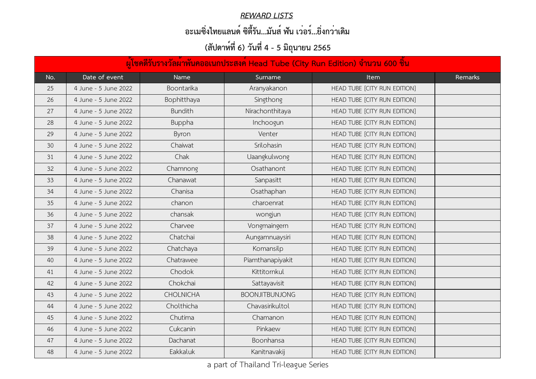#### *REWARD LISTS*

### **อะเมซิ่งไทยแลนด์ ซิตี้รัน...มันส์ ฟัน เว่อร์...ยิ่งกว่าเดิม**

|     | ้ผู้โชคดีรับรางวัลผ้าพันคออเนกประสงค์ Head Tube (City Run Edition) จำนวน 600 ชิ้น |                   |                       |                              |         |  |  |
|-----|-----------------------------------------------------------------------------------|-------------------|-----------------------|------------------------------|---------|--|--|
| No. | Date of event                                                                     | <b>Name</b>       | Surname               | <b>Item</b>                  | Remarks |  |  |
| 25  | 4 June - 5 June 2022                                                              | <b>Boontarika</b> | Aranyakanon           | HEAD TUBE [CITY RUN EDITION] |         |  |  |
| 26  | 4 June - 5 June 2022                                                              | Bophitthaya       | Singthong             | HEAD TUBE [CITY RUN EDITION] |         |  |  |
| 27  | 4 June - 5 June 2022                                                              | <b>Bundith</b>    | Nirachonthitaya       | HEAD TUBE [CITY RUN EDITION] |         |  |  |
| 28  | 4 June - 5 June 2022                                                              | <b>Buppha</b>     | Inchoogun             | HEAD TUBE [CITY RUN EDITION] |         |  |  |
| 29  | 4 June - 5 June 2022                                                              | Byron             | Venter                | HEAD TUBE [CITY RUN EDITION] |         |  |  |
| 30  | 4 June - 5 June 2022                                                              | Chaiwat           | Srilohasin            | HEAD TUBE [CITY RUN EDITION] |         |  |  |
| 31  | 4 June - 5 June 2022                                                              | Chak              | Uaangkulwong          | HEAD TUBE [CITY RUN EDITION] |         |  |  |
| 32  | 4 June - 5 June 2022                                                              | Chamnong          | Osathanont            | HEAD TUBE [CITY RUN EDITION] |         |  |  |
| 33  | 4 June - 5 June 2022                                                              | Chanawat          | Sanpasitt             | HEAD TUBE [CITY RUN EDITION] |         |  |  |
| 34  | 4 June - 5 June 2022                                                              | Chanisa           | Osathaphan            | HEAD TUBE [CITY RUN EDITION] |         |  |  |
| 35  | 4 June - 5 June 2022                                                              | chanon            | charoenrat            | HEAD TUBE [CITY RUN EDITION] |         |  |  |
| 36  | 4 June - 5 June 2022                                                              | chansak           | wongjun               | HEAD TUBE [CITY RUN EDITION] |         |  |  |
| 37  | 4 June - 5 June 2022                                                              | Charvee           | Vongmaingern          | HEAD TUBE [CITY RUN EDITION] |         |  |  |
| 38  | 4 June - 5 June 2022                                                              | Chatchai          | Aungamnuaysiri        | HEAD TUBE [CITY RUN EDITION] |         |  |  |
| 39  | 4 June - 5 June 2022                                                              | Chatchaya         | Komansilp             | HEAD TUBE [CITY RUN EDITION] |         |  |  |
| 40  | 4 June - 5 June 2022                                                              | Chatrawee         | Piamthanapiyakit      | HEAD TUBE [CITY RUN EDITION] |         |  |  |
| 41  | 4 June - 5 June 2022                                                              | Chodok            | Kittitornkul          | HEAD TUBE [CITY RUN EDITION] |         |  |  |
| 42  | 4 June - 5 June 2022                                                              | Chokchai          | Sattayavisit          | HEAD TUBE [CITY RUN EDITION] |         |  |  |
| 43  | 4 June - 5 June 2022                                                              | <b>CHOLNICHA</b>  | <b>BOONJITBUNJONG</b> | HEAD TUBE [CITY RUN EDITION] |         |  |  |
| 44  | 4 June - 5 June 2022                                                              | Cholthicha        | Chavasirikultol       | HEAD TUBE [CITY RUN EDITION] |         |  |  |
| 45  | 4 June - 5 June 2022                                                              | Chutima           | Chamanon              | HEAD TUBE [CITY RUN EDITION] |         |  |  |
| 46  | 4 June - 5 June 2022                                                              | Cukcanin          | Pinkaew               | HEAD TUBE [CITY RUN EDITION] |         |  |  |
| 47  | 4 June - 5 June 2022                                                              | Dachanat          | Boonhansa             | HEAD TUBE [CITY RUN EDITION] |         |  |  |
| 48  | 4 June - 5 June 2022                                                              | Eakkaluk          | Kanitnavakij          | HEAD TUBE [CITY RUN EDITION] |         |  |  |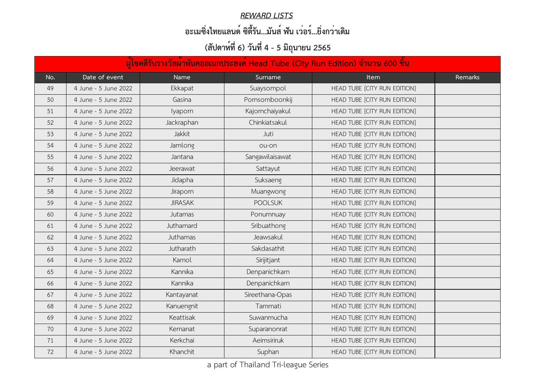#### *REWARD LISTS*

### **อะเมซิ่งไทยแลนด์ ซิตี้รัน...มันส์ ฟัน เว่อร์...ยิ่งกว่าเดิม**

|     | ้ผู้โชคดีรับรางวัลผ <sup>้</sup> าพันคออเนกประสงค์ Head Tube (City Run Edition) จำนวน 600 ชิ้น |                   |                 |                              |         |  |  |
|-----|------------------------------------------------------------------------------------------------|-------------------|-----------------|------------------------------|---------|--|--|
| No. | Date of event                                                                                  | <b>Name</b>       | Surname         | <b>Item</b>                  | Remarks |  |  |
| 49  | 4 June - 5 June 2022                                                                           | Ekkapat           | Suaysompol      | HEAD TUBE [CITY RUN EDITION] |         |  |  |
| 50  | 4 June - 5 June 2022                                                                           | Gasina            | Pornsomboonkij  | HEAD TUBE [CITY RUN EDITION] |         |  |  |
| 51  | 4 June - 5 June 2022                                                                           | <b>lyaporn</b>    | Kajornchaiyakul | HEAD TUBE [CITY RUN EDITION] |         |  |  |
| 52  | 4 June - 5 June 2022                                                                           | <b>Jackraphan</b> | Chinkiatsakul   | HEAD TUBE [CITY RUN EDITION] |         |  |  |
| 53  | 4 June - 5 June 2022                                                                           | Jakkit            | Juti            | HEAD TUBE [CITY RUN EDITION] |         |  |  |
| 54  | 4 June - 5 June 2022                                                                           | Jamlong           | ou-on           | HEAD TUBE [CITY RUN EDITION] |         |  |  |
| 55  | 4 June - 5 June 2022                                                                           | Jantana           | Sangawilaisawat | HEAD TUBE [CITY RUN EDITION] |         |  |  |
| 56  | 4 June - 5 June 2022                                                                           | Jeerawat          | Sattayut        | HEAD TUBE [CITY RUN EDITION] |         |  |  |
| 57  | 4 June - 5 June 2022                                                                           | Jidapha           | Suksaeng        | HEAD TUBE [CITY RUN EDITION] |         |  |  |
| 58  | 4 June - 5 June 2022                                                                           | <b>Jiraporn</b>   | Muangwong       | HEAD TUBE [CITY RUN EDITION] |         |  |  |
| 59  | 4 June - 5 June 2022                                                                           | <b>JIRASAK</b>    | <b>POOLSUK</b>  | HEAD TUBE [CITY RUN EDITION] |         |  |  |
| 60  | 4 June - 5 June 2022                                                                           | Jutamas           | Ponumnuay       | HEAD TUBE [CITY RUN EDITION] |         |  |  |
| 61  | 4 June - 5 June 2022                                                                           | <b>Juthamard</b>  | Sribuathong     | HEAD TUBE [CITY RUN EDITION] |         |  |  |
| 62  | 4 June - 5 June 2022                                                                           | Juthamas          | Jeawsakul       | HEAD TUBE [CITY RUN EDITION] |         |  |  |
| 63  | 4 June - 5 June 2022                                                                           | Jutharath         | Sakdasathit     | HEAD TUBE [CITY RUN EDITION] |         |  |  |
| 64  | 4 June - 5 June 2022                                                                           | Kamol             | Sirijitjant     | HEAD TUBE [CITY RUN EDITION] |         |  |  |
| 65  | 4 June - 5 June 2022                                                                           | Kannika           | Denpanichkarn   | HEAD TUBE [CITY RUN EDITION] |         |  |  |
| 66  | 4 June - 5 June 2022                                                                           | Kannika           | Denpanichkarn   | HEAD TUBE [CITY RUN EDITION] |         |  |  |
| 67  | 4 June - 5 June 2022                                                                           | Kantayanat        | Sireethana-Opas | HEAD TUBE [CITY RUN EDITION] |         |  |  |
| 68  | 4 June - 5 June 2022                                                                           | Kanuengnit        | Tammati         | HEAD TUBE [CITY RUN EDITION] |         |  |  |
| 69  | 4 June - 5 June 2022                                                                           | Keattisak         | Suwanmucha      | HEAD TUBE [CITY RUN EDITION] |         |  |  |
| 70  | 4 June - 5 June 2022                                                                           | Kemanat           | Suparanonrat    | HEAD TUBE [CITY RUN EDITION] |         |  |  |
| 71  | 4 June - 5 June 2022                                                                           | Kerkchai          | Aeimsiriruk     | HEAD TUBE [CITY RUN EDITION] |         |  |  |
| 72  | 4 June - 5 June 2022                                                                           | Khanchit          | Suphan          | HEAD TUBE [CITY RUN EDITION] |         |  |  |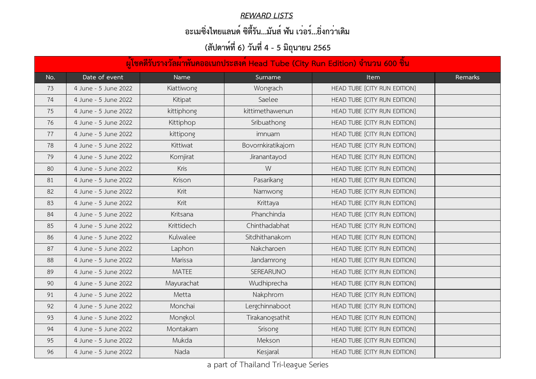#### *REWARD LISTS*

### **อะเมซิ่งไทยแลนด์ ซิตี้รัน...มันส์ ฟัน เว่อร์...ยิ่งกว่าเดิม**

|     | ้ผู้โชคดีรับรางวัลผ <sup>้</sup> าพันคออเนกประสงค์ Head Tube (City Run Edition) จำนวน 600 ชิ้น |                  |                    |                              |         |  |  |
|-----|------------------------------------------------------------------------------------------------|------------------|--------------------|------------------------------|---------|--|--|
| No. | Date of event                                                                                  | <b>Name</b>      | Surname            | <b>Item</b>                  | Remarks |  |  |
| 73  | 4 June - 5 June 2022                                                                           | Kiattiwong       | Wongrach           | HEAD TUBE [CITY RUN EDITION] |         |  |  |
| 74  | 4 June - 5 June 2022                                                                           | Kitipat          | Saelee             | HEAD TUBE [CITY RUN EDITION] |         |  |  |
| 75  | 4 June - 5 June 2022                                                                           | kittiphong       | kittimethawenun    | HEAD TUBE [CITY RUN EDITION] |         |  |  |
| 76  | 4 June - 5 June 2022                                                                           | <b>Kittiphop</b> | Sribuathong        | HEAD TUBE [CITY RUN EDITION] |         |  |  |
| 77  | 4 June - 5 June 2022                                                                           | kittipong        | imnuam             | HEAD TUBE [CITY RUN EDITION] |         |  |  |
| 78  | 4 June - 5 June 2022                                                                           | Kittiwat         | Bovornkiratikajorn | HEAD TUBE [CITY RUN EDITION] |         |  |  |
| 79  | 4 June - 5 June 2022                                                                           | Kornjirat        | Jiranantayod       | HEAD TUBE [CITY RUN EDITION] |         |  |  |
| 80  | 4 June - 5 June 2022                                                                           | Kris             | W                  | HEAD TUBE [CITY RUN EDITION] |         |  |  |
| 81  | 4 June - 5 June 2022                                                                           | Krison           | Pasarikang         | HEAD TUBE [CITY RUN EDITION] |         |  |  |
| 82  | 4 June - 5 June 2022                                                                           | Krit             | Namwong            | HEAD TUBE [CITY RUN EDITION] |         |  |  |
| 83  | 4 June - 5 June 2022                                                                           | Krit             | Krittaya           | HEAD TUBE [CITY RUN EDITION] |         |  |  |
| 84  | 4 June - 5 June 2022                                                                           | Kritsana         | Phanchinda         | HEAD TUBE [CITY RUN EDITION] |         |  |  |
| 85  | 4 June - 5 June 2022                                                                           | Krittidech       | Chinthadabhat      | HEAD TUBE [CITY RUN EDITION] |         |  |  |
| 86  | 4 June - 5 June 2022                                                                           | Kulwalee         | Sitdhithanakorn    | HEAD TUBE [CITY RUN EDITION] |         |  |  |
| 87  | 4 June - 5 June 2022                                                                           | Laphon           | Nakcharoen         | HEAD TUBE [CITY RUN EDITION] |         |  |  |
| 88  | 4 June - 5 June 2022                                                                           | Marissa          | Jandamrong         | HEAD TUBE [CITY RUN EDITION] |         |  |  |
| 89  | 4 June - 5 June 2022                                                                           | <b>MATEE</b>     | <b>SEREARUNO</b>   | HEAD TUBE [CITY RUN EDITION] |         |  |  |
| 90  | 4 June - 5 June 2022                                                                           | Mayurachat       | Wudhiprecha        | HEAD TUBE [CITY RUN EDITION] |         |  |  |
| 91  | 4 June - 5 June 2022                                                                           | Metta            | Nakphrom           | HEAD TUBE [CITY RUN EDITION] |         |  |  |
| 92  | 4 June - 5 June 2022                                                                           | Monchai          | Lergchinnaboot     | HEAD TUBE [CITY RUN EDITION] |         |  |  |
| 93  | 4 June - 5 June 2022                                                                           | Mongkol          | Tirakanogsathit    | HEAD TUBE [CITY RUN EDITION] |         |  |  |
| 94  | 4 June - 5 June 2022                                                                           | Montakarn        | Srisong            | HEAD TUBE [CITY RUN EDITION] |         |  |  |
| 95  | 4 June - 5 June 2022                                                                           | Mukda            | Mekson             | HEAD TUBE [CITY RUN EDITION] |         |  |  |
| 96  | 4 June - 5 June 2022                                                                           | Nada             | Kesjaral           | HEAD TUBE [CITY RUN EDITION] |         |  |  |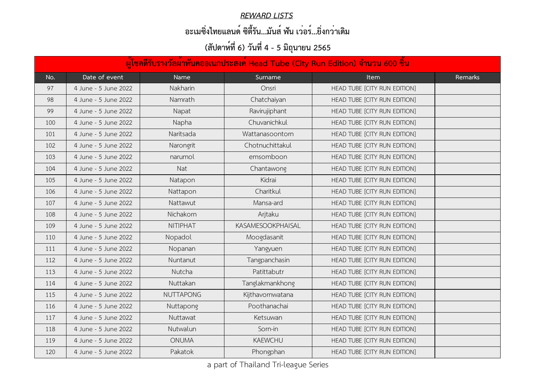#### *REWARD LISTS*

### **อะเมซิ่งไทยแลนด์ ซิตี้รัน...มันส์ ฟัน เว่อร์...ยิ่งกว่าเดิม**

| ้ผู้โชคดีรับรางวัลผ <sup>้</sup> าพันคออเนกประสงค <sup>์</sup> Head Tube (City Run Edition) จำนวน 600 ชิ้น |                      |                  |                          |                              |         |  |  |
|------------------------------------------------------------------------------------------------------------|----------------------|------------------|--------------------------|------------------------------|---------|--|--|
| No.                                                                                                        | Date of event        | <b>Name</b>      | Surname                  | <b>Item</b>                  | Remarks |  |  |
| 97                                                                                                         | 4 June - 5 June 2022 | Nakharin         | Onsri                    | HEAD TUBE [CITY RUN EDITION] |         |  |  |
| 98                                                                                                         | 4 June - 5 June 2022 | Namrath          | Chatchaiyan              | HEAD TUBE [CITY RUN EDITION] |         |  |  |
| 99                                                                                                         | 4 June - 5 June 2022 | Napat            | Ravirujiphant            | HEAD TUBE [CITY RUN EDITION] |         |  |  |
| 100                                                                                                        | 4 June - 5 June 2022 | Napha            | Chuvanichkul             | HEAD TUBE [CITY RUN EDITION] |         |  |  |
| 101                                                                                                        | 4 June - 5 June 2022 | Naritsada        | Wattanasoontorn          | HEAD TUBE [CITY RUN EDITION] |         |  |  |
| 102                                                                                                        | 4 June - 5 June 2022 | Narongrit        | Chotnuchittakul          | HEAD TUBE [CITY RUN EDITION] |         |  |  |
| 103                                                                                                        | 4 June - 5 June 2022 | narumol          | emsomboon                | HEAD TUBE [CITY RUN EDITION] |         |  |  |
| 104                                                                                                        | 4 June - 5 June 2022 | Nat              | Chantawong               | HEAD TUBE [CITY RUN EDITION] |         |  |  |
| 105                                                                                                        | 4 June - 5 June 2022 | Natapon          | Kidrai                   | HEAD TUBE [CITY RUN EDITION] |         |  |  |
| 106                                                                                                        | 4 June - 5 June 2022 | Nattapon         | Charitkul                | HEAD TUBE [CITY RUN EDITION] |         |  |  |
| 107                                                                                                        | 4 June - 5 June 2022 | Nattawut         | Mansa-ard                | HEAD TUBE [CITY RUN EDITION] |         |  |  |
| 108                                                                                                        | 4 June - 5 June 2022 | Nichakorn        | Arjtaku                  | HEAD TUBE [CITY RUN EDITION] |         |  |  |
| 109                                                                                                        | 4 June - 5 June 2022 | NITIPHAT         | <b>KASAMESOOKPHAISAL</b> | HEAD TUBE [CITY RUN EDITION] |         |  |  |
| 110                                                                                                        | 4 June - 5 June 2022 | Nopadol          | Moogdasanit              | HEAD TUBE [CITY RUN EDITION] |         |  |  |
| 111                                                                                                        | 4 June - 5 June 2022 | Nopanan          | Yangyuen                 | HEAD TUBE [CITY RUN EDITION] |         |  |  |
| 112                                                                                                        | 4 June - 5 June 2022 | Nuntanut         | Tangpanchasin            | HEAD TUBE [CITY RUN EDITION] |         |  |  |
| 113                                                                                                        | 4 June - 5 June 2022 | Nutcha           | Patittabutr              | HEAD TUBE [CITY RUN EDITION] |         |  |  |
| 114                                                                                                        | 4 June - 5 June 2022 | Nuttakan         | Tanglakmankhong          | HEAD TUBE [CITY RUN EDITION] |         |  |  |
| 115                                                                                                        | 4 June - 5 June 2022 | <b>NUTTAPONG</b> | Kijthavornwatana         | HEAD TUBE [CITY RUN EDITION] |         |  |  |
| 116                                                                                                        | 4 June - 5 June 2022 | Nuttapong        | Poothanachai             | HEAD TUBE [CITY RUN EDITION] |         |  |  |
| 117                                                                                                        | 4 June - 5 June 2022 | Nuttawat         | Ketsuwan                 | HEAD TUBE [CITY RUN EDITION] |         |  |  |
| 118                                                                                                        | 4 June - 5 June 2022 | Nutwalun         | Sorn-in                  | HEAD TUBE [CITY RUN EDITION] |         |  |  |
| 119                                                                                                        | 4 June - 5 June 2022 | <b>ONUMA</b>     | <b>KAEWCHU</b>           | HEAD TUBE [CITY RUN EDITION] |         |  |  |
| 120                                                                                                        | 4 June - 5 June 2022 | Pakatok          | Phongphan                | HEAD TUBE [CITY RUN EDITION] |         |  |  |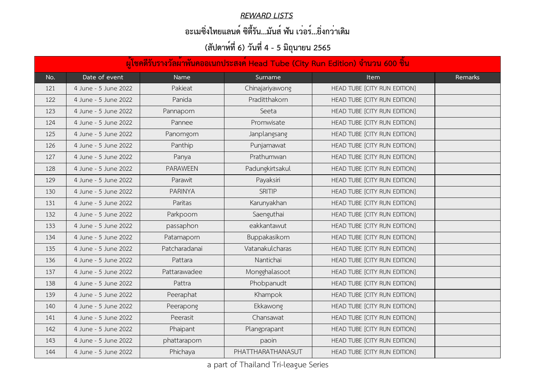#### *REWARD LISTS*

### **อะเมซิ่งไทยแลนด์ ซิตี้รัน...มันส์ ฟัน เว่อร์...ยิ่งกว่าเดิม**

|     | ้ผู้โชคดีรับรางวัลผ <sup>้</sup> าพันคออเนกประสงค <sup>์</sup> Head Tube (City Run Edition) จำนวน 600 ชิ้น |                 |                   |                              |         |  |  |  |
|-----|------------------------------------------------------------------------------------------------------------|-----------------|-------------------|------------------------------|---------|--|--|--|
| No. | Date of event                                                                                              | <b>Name</b>     | Surname           | <b>Item</b>                  | Remarks |  |  |  |
| 121 | 4 June - 5 June 2022                                                                                       | Pakieat         | Chinajariyawong   | HEAD TUBE [CITY RUN EDITION] |         |  |  |  |
| 122 | 4 June - 5 June 2022                                                                                       | Panida          | Praditthakorn     | HEAD TUBE [CITY RUN EDITION] |         |  |  |  |
| 123 | 4 June - 5 June 2022                                                                                       | Pannaporn       | Seeta             | HEAD TUBE [CITY RUN EDITION] |         |  |  |  |
| 124 | 4 June - 5 June 2022                                                                                       | Pannee          | Promwisate        | HEAD TUBE [CITY RUN EDITION] |         |  |  |  |
| 125 | 4 June - 5 June 2022                                                                                       | Panomgorn       | Janplangsang      | HEAD TUBE [CITY RUN EDITION] |         |  |  |  |
| 126 | 4 June - 5 June 2022                                                                                       | Panthip         | Punjamawat        | HEAD TUBE [CITY RUN EDITION] |         |  |  |  |
| 127 | 4 June - 5 June 2022                                                                                       | Panya           | Prathumwan        | HEAD TUBE [CITY RUN EDITION] |         |  |  |  |
| 128 | 4 June - 5 June 2022                                                                                       | <b>PARAWEEN</b> | Padungkirtsakul   | HEAD TUBE [CITY RUN EDITION] |         |  |  |  |
| 129 | 4 June - 5 June 2022                                                                                       | Parawit         | Payaksiri         | HEAD TUBE [CITY RUN EDITION] |         |  |  |  |
| 130 | 4 June - 5 June 2022                                                                                       | <b>PARINYA</b>  | <b>SRITIP</b>     | HEAD TUBE [CITY RUN EDITION] |         |  |  |  |
| 131 | 4 June - 5 June 2022                                                                                       | Paritas         | Karunyakhan       | HEAD TUBE [CITY RUN EDITION] |         |  |  |  |
| 132 | 4 June - 5 June 2022                                                                                       | Parkpoom        | Saenguthai        | HEAD TUBE [CITY RUN EDITION] |         |  |  |  |
| 133 | 4 June - 5 June 2022                                                                                       | passaphon       | eakkantawut       | HEAD TUBE [CITY RUN EDITION] |         |  |  |  |
| 134 | 4 June - 5 June 2022                                                                                       | Patamaporn      | Buppakasikorn     | HEAD TUBE [CITY RUN EDITION] |         |  |  |  |
| 135 | 4 June - 5 June 2022                                                                                       | Patcharadanai   | Vatanakulcharas   | HEAD TUBE [CITY RUN EDITION] |         |  |  |  |
| 136 | 4 June - 5 June 2022                                                                                       | Pattara         | Nantichai         | HEAD TUBE [CITY RUN EDITION] |         |  |  |  |
| 137 | 4 June - 5 June 2022                                                                                       | Pattarawadee    | Mongghalasoot     | HEAD TUBE [CITY RUN EDITION] |         |  |  |  |
| 138 | 4 June - 5 June 2022                                                                                       | Pattra          | Phobpanudt        | HEAD TUBE [CITY RUN EDITION] |         |  |  |  |
| 139 | 4 June - 5 June 2022                                                                                       | Peeraphat       | Khampok           | HEAD TUBE [CITY RUN EDITION] |         |  |  |  |
| 140 | 4 June - 5 June 2022                                                                                       | Peerapong       | Ekkawong          | HEAD TUBE [CITY RUN EDITION] |         |  |  |  |
| 141 | 4 June - 5 June 2022                                                                                       | Peerasit        | Chansawat         | HEAD TUBE [CITY RUN EDITION] |         |  |  |  |
| 142 | 4 June - 5 June 2022                                                                                       | <b>Phaipant</b> | Plangprapant      | HEAD TUBE [CITY RUN EDITION] |         |  |  |  |
| 143 | 4 June - 5 June 2022                                                                                       | phattaraporn    | paoin             | HEAD TUBE [CITY RUN EDITION] |         |  |  |  |
| 144 | 4 June - 5 June 2022                                                                                       | Phichaya        | PHATTHARATHANASUT | HEAD TUBE [CITY RUN EDITION] |         |  |  |  |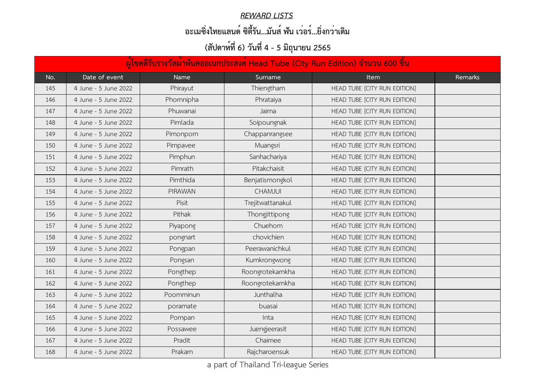#### *REWARD LISTS*

### **อะเมซิ่งไทยแลนด์ ซิตี้รัน...มันส์ ฟัน เว่อร์...ยิ่งกว่าเดิม**

|     | ้ผู้โชคดีรับรางวัลผ <sup>้</sup> าพันคออเนกประสงค <sup>์</sup> Head Tube (City Run Edition) จำนวน 600 ชิ้น |                |                  |                              |         |  |  |  |
|-----|------------------------------------------------------------------------------------------------------------|----------------|------------------|------------------------------|---------|--|--|--|
| No. | Date of event                                                                                              | <b>Name</b>    | Surname          | <b>Item</b>                  | Remarks |  |  |  |
| 145 | 4 June - 5 June 2022                                                                                       | Phirayut       | Thiengtham       | HEAD TUBE [CITY RUN EDITION] |         |  |  |  |
| 146 | 4 June - 5 June 2022                                                                                       | Phornnipha     | Phrataiya        | HEAD TUBE [CITY RUN EDITION] |         |  |  |  |
| 147 | 4 June - 5 June 2022                                                                                       | Phuwanai       | Jaima            | HEAD TUBE [CITY RUN EDITION] |         |  |  |  |
| 148 | 4 June - 5 June 2022                                                                                       | Pimlada        | Soipoungnak      | HEAD TUBE [CITY RUN EDITION] |         |  |  |  |
| 149 | 4 June - 5 June 2022                                                                                       | Pimonporn      | Chappanrangsee   | HEAD TUBE [CITY RUN EDITION] |         |  |  |  |
| 150 | 4 June - 5 June 2022                                                                                       | Pimpavee       | Muangsri         | HEAD TUBE [CITY RUN EDITION] |         |  |  |  |
| 151 | 4 June - 5 June 2022                                                                                       | Pimphun        | Sanhachariya     | HEAD TUBE [CITY RUN EDITION] |         |  |  |  |
| 152 | 4 June - 5 June 2022                                                                                       | Pimrath        | Pitakchaisit     | HEAD TUBE [CITY RUN EDITION] |         |  |  |  |
| 153 | 4 June - 5 June 2022                                                                                       | Pimthida       | Benjatismongkol  | HEAD TUBE [CITY RUN EDITION] |         |  |  |  |
| 154 | 4 June - 5 June 2022                                                                                       | <b>PIRAWAN</b> | <b>CHAMJUI</b>   | HEAD TUBE [CITY RUN EDITION] |         |  |  |  |
| 155 | 4 June - 5 June 2022                                                                                       | <b>Pisit</b>   | Trejitwattanakul | HEAD TUBE [CITY RUN EDITION] |         |  |  |  |
| 156 | 4 June - 5 June 2022                                                                                       | Pithak         | Thongjittipong   | HEAD TUBE [CITY RUN EDITION] |         |  |  |  |
| 157 | 4 June - 5 June 2022                                                                                       | Piyapong       | Chuehom          | HEAD TUBE [CITY RUN EDITION] |         |  |  |  |
| 158 | 4 June - 5 June 2022                                                                                       | pongnart       | chovichien       | HEAD TUBE [CITY RUN EDITION] |         |  |  |  |
| 159 | 4 June - 5 June 2022                                                                                       | Pongpan        | Peerawanichkul   | HEAD TUBE [CITY RUN EDITION] |         |  |  |  |
| 160 | 4 June - 5 June 2022                                                                                       | Pongsan        | Kumkrongwong     | HEAD TUBE [CITY RUN EDITION] |         |  |  |  |
| 161 | 4 June - 5 June 2022                                                                                       | Pongthep       | Roongrotekarnkha | HEAD TUBE [CITY RUN EDITION] |         |  |  |  |
| 162 | 4 June - 5 June 2022                                                                                       | Pongthep       | Roongrotekarnkha | HEAD TUBE [CITY RUN EDITION] |         |  |  |  |
| 163 | 4 June - 5 June 2022                                                                                       | Poomminun      | Junthalha        | HEAD TUBE [CITY RUN EDITION] |         |  |  |  |
| 164 | 4 June - 5 June 2022                                                                                       | poramate       | buasai           | HEAD TUBE [CITY RUN EDITION] |         |  |  |  |
| 165 | 4 June - 5 June 2022                                                                                       | Pornpan        | Inta             | HEAD TUBE [CITY RUN EDITION] |         |  |  |  |
| 166 | 4 June - 5 June 2022                                                                                       | Possawee       | Juengjeerasit    | HEAD TUBE [CITY RUN EDITION] |         |  |  |  |
| 167 | 4 June - 5 June 2022                                                                                       | Pradit         | Chaimee          | HEAD TUBE [CITY RUN EDITION] |         |  |  |  |
| 168 | 4 June - 5 June 2022                                                                                       | Prakarn        | Rajcharoensuk    | HEAD TUBE [CITY RUN EDITION] |         |  |  |  |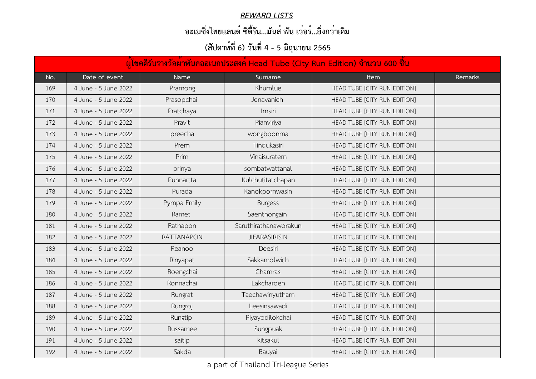#### *REWARD LISTS*

### **อะเมซิ่งไทยแลนด์ ซิตี้รัน...มันส์ ฟัน เว่อร์...ยิ่งกว่าเดิม**

| ้ผู้โชคดีรับรางวัลผ <sup>้</sup> าพันคออเนกประสงค์ Head Tube (City Run Edition) จำนวน 600 ชิ้น |                      |             |                       |                              |         |  |  |
|------------------------------------------------------------------------------------------------|----------------------|-------------|-----------------------|------------------------------|---------|--|--|
| No.                                                                                            | Date of event        | <b>Name</b> | Surname               | <b>Item</b>                  | Remarks |  |  |
| 169                                                                                            | 4 June - 5 June 2022 | Pramong     | Khumlue               | HEAD TUBE [CITY RUN EDITION] |         |  |  |
| 170                                                                                            | 4 June - 5 June 2022 | Prasopchai  | Jenavanich            | HEAD TUBE [CITY RUN EDITION] |         |  |  |
| 171                                                                                            | 4 June - 5 June 2022 | Pratchaya   | <i>Imsiri</i>         | HEAD TUBE [CITY RUN EDITION] |         |  |  |
| 172                                                                                            | 4 June - 5 June 2022 | Pravit      | Pianviriya            | HEAD TUBE [CITY RUN EDITION] |         |  |  |
| 173                                                                                            | 4 June - 5 June 2022 | preecha     | wongboonma            | HEAD TUBE [CITY RUN EDITION] |         |  |  |
| 174                                                                                            | 4 June - 5 June 2022 | Prem        | Tindukasiri           | HEAD TUBE [CITY RUN EDITION] |         |  |  |
| 175                                                                                            | 4 June - 5 June 2022 | Prim        | Vinaisuratern         | HEAD TUBE [CITY RUN EDITION] |         |  |  |
| 176                                                                                            | 4 June - 5 June 2022 | prinya      | sombatwattanal        | HEAD TUBE [CITY RUN EDITION] |         |  |  |
| 177                                                                                            | 4 June - 5 June 2022 | Punnartta   | Kulchutitatchapan     | HEAD TUBE [CITY RUN EDITION] |         |  |  |
| 178                                                                                            | 4 June - 5 June 2022 | Purada      | Kanokpornwasin        | HEAD TUBE [CITY RUN EDITION] |         |  |  |
| 179                                                                                            | 4 June - 5 June 2022 | Pympa Emily | <b>Burgess</b>        | HEAD TUBE [CITY RUN EDITION] |         |  |  |
| 180                                                                                            | 4 June - 5 June 2022 | Ramet       | Saenthongain          | HEAD TUBE [CITY RUN EDITION] |         |  |  |
| 181                                                                                            | 4 June - 5 June 2022 | Rathapon    | Saruthirathanaworakun | HEAD TUBE [CITY RUN EDITION] |         |  |  |
| 182                                                                                            | 4 June - 5 June 2022 | RATTANAPON  | <b>JIEARASIRISIN</b>  | HEAD TUBE [CITY RUN EDITION] |         |  |  |
| 183                                                                                            | 4 June - 5 June 2022 | Reanoo      | Deesiri               | HEAD TUBE [CITY RUN EDITION] |         |  |  |
| 184                                                                                            | 4 June - 5 June 2022 | Rinyapat    | Sakkamolwich          | HEAD TUBE [CITY RUN EDITION] |         |  |  |
| 185                                                                                            | 4 June - 5 June 2022 | Roengchai   | Chamras               | HEAD TUBE [CITY RUN EDITION] |         |  |  |
| 186                                                                                            | 4 June - 5 June 2022 | Ronnachai   | Lakcharoen            | HEAD TUBE [CITY RUN EDITION] |         |  |  |
| 187                                                                                            | 4 June - 5 June 2022 | Rungrat     | Taechawinyutham       | HEAD TUBE [CITY RUN EDITION] |         |  |  |
| 188                                                                                            | 4 June - 5 June 2022 | Rungroj     | Leesinsawadi          | HEAD TUBE [CITY RUN EDITION] |         |  |  |
| 189                                                                                            | 4 June - 5 June 2022 | Rungtip     | Piyayodilokchai       | HEAD TUBE [CITY RUN EDITION] |         |  |  |
| 190                                                                                            | 4 June - 5 June 2022 | Russamee    | Sungpuak              | HEAD TUBE [CITY RUN EDITION] |         |  |  |
| 191                                                                                            | 4 June - 5 June 2022 | saitip      | kitsakul              | HEAD TUBE [CITY RUN EDITION] |         |  |  |
| 192                                                                                            | 4 June - 5 June 2022 | Sakda       | Bauyai                | HEAD TUBE [CITY RUN EDITION] |         |  |  |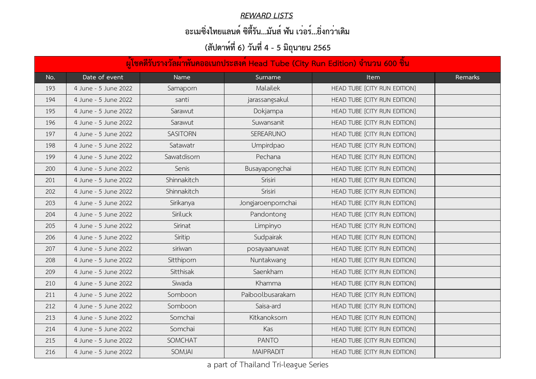#### *REWARD LISTS*

### **อะเมซิ่งไทยแลนด์ ซิตี้รัน...มันส์ ฟัน เว่อร์...ยิ่งกว่าเดิม**

| ้ผู้โชคดีรับรางวัลผ <sup>้</sup> าพันคออเนกประสงค <sup>์</sup> Head Tube (City Run Edition) จำนวน 600 ชิ้น |                      |                 |                    |                              |         |  |  |
|------------------------------------------------------------------------------------------------------------|----------------------|-----------------|--------------------|------------------------------|---------|--|--|
| No.                                                                                                        | Date of event        | <b>Name</b>     | Surname            | <b>Item</b>                  | Remarks |  |  |
| 193                                                                                                        | 4 June - 5 June 2022 | Samaporn        | Malailek           | HEAD TUBE [CITY RUN EDITION] |         |  |  |
| 194                                                                                                        | 4 June - 5 June 2022 | santi           | jarassangsakul     | HEAD TUBE [CITY RUN EDITION] |         |  |  |
| 195                                                                                                        | 4 June - 5 June 2022 | Sarawut         | Dokjampa           | HEAD TUBE [CITY RUN EDITION] |         |  |  |
| 196                                                                                                        | 4 June - 5 June 2022 | Sarawut         | Suwansanit         | HEAD TUBE [CITY RUN EDITION] |         |  |  |
| 197                                                                                                        | 4 June - 5 June 2022 | <b>SASITORN</b> | <b>SEREARUNO</b>   | HEAD TUBE [CITY RUN EDITION] |         |  |  |
| 198                                                                                                        | 4 June - 5 June 2022 | Satawatr        | Umpirdpao          | HEAD TUBE [CITY RUN EDITION] |         |  |  |
| 199                                                                                                        | 4 June - 5 June 2022 | Sawatdisorn     | Pechana            | HEAD TUBE [CITY RUN EDITION] |         |  |  |
| 200                                                                                                        | 4 June - 5 June 2022 | Senis           | Busayapongchai     | HEAD TUBE [CITY RUN EDITION] |         |  |  |
| 201                                                                                                        | 4 June - 5 June 2022 | Shinnakitch     | Srisiri            | HEAD TUBE [CITY RUN EDITION] |         |  |  |
| 202                                                                                                        | 4 June - 5 June 2022 | Shinnakitch     | Srisiri            | HEAD TUBE [CITY RUN EDITION] |         |  |  |
| 203                                                                                                        | 4 June - 5 June 2022 | Sirikanya       | Jongjaroenpornchai | HEAD TUBE [CITY RUN EDITION] |         |  |  |
| 204                                                                                                        | 4 June - 5 June 2022 | Siriluck        | Pandontong         | HEAD TUBE [CITY RUN EDITION] |         |  |  |
| 205                                                                                                        | 4 June - 5 June 2022 | Sirinat         | Limpinyo           | HEAD TUBE [CITY RUN EDITION] |         |  |  |
| 206                                                                                                        | 4 June - 5 June 2022 | Siritip         | Sudpairak          | HEAD TUBE [CITY RUN EDITION] |         |  |  |
| 207                                                                                                        | 4 June - 5 June 2022 | siriwan         | posayaanuwat       | HEAD TUBE [CITY RUN EDITION] |         |  |  |
| 208                                                                                                        | 4 June - 5 June 2022 | Sitthiporn      | Nuntakwang         | HEAD TUBE [CITY RUN EDITION] |         |  |  |
| 209                                                                                                        | 4 June - 5 June 2022 | Sitthisak       | Saenkham           | HEAD TUBE [CITY RUN EDITION] |         |  |  |
| 210                                                                                                        | 4 June - 5 June 2022 | Siwada          | Khamma             | HEAD TUBE [CITY RUN EDITION] |         |  |  |
| 211                                                                                                        | 4 June - 5 June 2022 | Somboon         | Paiboolbusarakam   | HEAD TUBE [CITY RUN EDITION] |         |  |  |
| 212                                                                                                        | 4 June - 5 June 2022 | Somboon         | Saisa-ard          | HEAD TUBE [CITY RUN EDITION] |         |  |  |
| 213                                                                                                        | 4 June - 5 June 2022 | Somchai         | Kitkanoksorn       | HEAD TUBE [CITY RUN EDITION] |         |  |  |
| 214                                                                                                        | 4 June - 5 June 2022 | Somchai         | Kas                | HEAD TUBE [CITY RUN EDITION] |         |  |  |
| 215                                                                                                        | 4 June - 5 June 2022 | <b>SOMCHAT</b>  | <b>PANTO</b>       | HEAD TUBE [CITY RUN EDITION] |         |  |  |
| 216                                                                                                        | 4 June - 5 June 2022 | <b>SOMJAI</b>   | <b>MAIPRADIT</b>   | HEAD TUBE [CITY RUN EDITION] |         |  |  |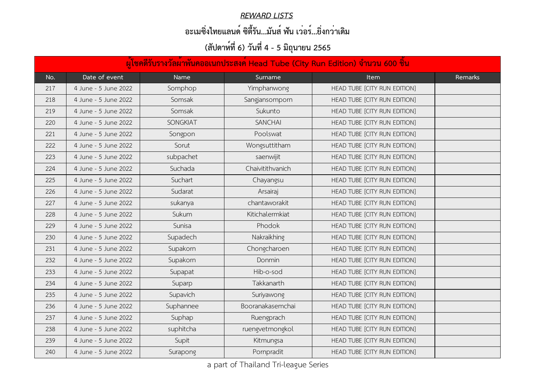#### *REWARD LISTS*

### **อะเมซิ่งไทยแลนด์ ซิตี้รัน...มันส์ ฟัน เว่อร์...ยิ่งกว่าเดิม**

|     | ้ผู้โชคดีรับรางวัลผ <sup>้</sup> าพันคออเนกประสงค <sup>์</sup> Head Tube (City Run Edition) จำนวน 600 ชิ้น |                 |                  |                              |         |  |  |  |
|-----|------------------------------------------------------------------------------------------------------------|-----------------|------------------|------------------------------|---------|--|--|--|
| No. | Date of event                                                                                              | <b>Name</b>     | Surname          | <b>Item</b>                  | Remarks |  |  |  |
| 217 | 4 June - 5 June 2022                                                                                       | Somphop         | Yimphanwong      | HEAD TUBE [CITY RUN EDITION] |         |  |  |  |
| 218 | 4 June - 5 June 2022                                                                                       | Somsak          | Sangjansomporn   | HEAD TUBE [CITY RUN EDITION] |         |  |  |  |
| 219 | 4 June - 5 June 2022                                                                                       | Somsak          | Sukunto          | HEAD TUBE [CITY RUN EDITION] |         |  |  |  |
| 220 | 4 June - 5 June 2022                                                                                       | <b>SONGKIAT</b> | <b>SANCHAI</b>   | HEAD TUBE [CITY RUN EDITION] |         |  |  |  |
| 221 | 4 June - 5 June 2022                                                                                       | Songpon         | Poolswat         | HEAD TUBE [CITY RUN EDITION] |         |  |  |  |
| 222 | 4 June - 5 June 2022                                                                                       | Sorut           | Wongsuttitham    | HEAD TUBE [CITY RUN EDITION] |         |  |  |  |
| 223 | 4 June - 5 June 2022                                                                                       | subpachet       | saenwijit        | HEAD TUBE [CITY RUN EDITION] |         |  |  |  |
| 224 | 4 June - 5 June 2022                                                                                       | Suchada         | Chaivitithvanich | HEAD TUBE [CITY RUN EDITION] |         |  |  |  |
| 225 | 4 June - 5 June 2022                                                                                       | Suchart         | Chayangsu        | HEAD TUBE [CITY RUN EDITION] |         |  |  |  |
| 226 | 4 June - 5 June 2022                                                                                       | Sudarat         | Arsairaj         | HEAD TUBE [CITY RUN EDITION] |         |  |  |  |
| 227 | 4 June - 5 June 2022                                                                                       | sukanya         | chantaworakit    | HEAD TUBE [CITY RUN EDITION] |         |  |  |  |
| 228 | 4 June - 5 June 2022                                                                                       | Sukum           | Kitichalermkiat  | HEAD TUBE [CITY RUN EDITION] |         |  |  |  |
| 229 | 4 June - 5 June 2022                                                                                       | Sunisa          | Phodok           | HEAD TUBE [CITY RUN EDITION] |         |  |  |  |
| 230 | 4 June - 5 June 2022                                                                                       | Supadech        | Nakraikhing      | HEAD TUBE [CITY RUN EDITION] |         |  |  |  |
| 231 | 4 June - 5 June 2022                                                                                       | Supakorn        | Chongcharoen     | HEAD TUBE [CITY RUN EDITION] |         |  |  |  |
| 232 | 4 June - 5 June 2022                                                                                       | Supakorn        | <b>Donmin</b>    | HEAD TUBE [CITY RUN EDITION] |         |  |  |  |
| 233 | 4 June - 5 June 2022                                                                                       | Supapat         | Hib-o-sod        | HEAD TUBE [CITY RUN EDITION] |         |  |  |  |
| 234 | 4 June - 5 June 2022                                                                                       | Suparp          | Takkanarth       | HEAD TUBE [CITY RUN EDITION] |         |  |  |  |
| 235 | 4 June - 5 June 2022                                                                                       | Supavich        | Suriyawong       | HEAD TUBE [CITY RUN EDITION] |         |  |  |  |
| 236 | 4 June - 5 June 2022                                                                                       | Suphannee       | Booranakasemchai | HEAD TUBE [CITY RUN EDITION] |         |  |  |  |
| 237 | 4 June - 5 June 2022                                                                                       | Suphap          | Ruengprach       | HEAD TUBE [CITY RUN EDITION] |         |  |  |  |
| 238 | 4 June - 5 June 2022                                                                                       | suphitcha       | ruengvetmongkol  | HEAD TUBE [CITY RUN EDITION] |         |  |  |  |
| 239 | 4 June - 5 June 2022                                                                                       | Supit           | Kitmungsa        | HEAD TUBE [CITY RUN EDITION] |         |  |  |  |
| 240 | 4 June - 5 June 2022                                                                                       | Surapong        | Pornpradit       | HEAD TUBE [CITY RUN EDITION] |         |  |  |  |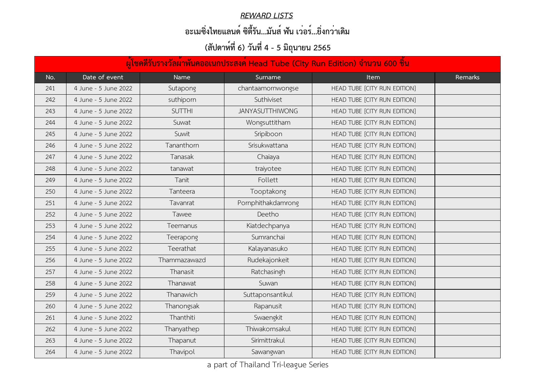#### *REWARD LISTS*

### **อะเมซิ่งไทยแลนด์ ซิตี้รัน...มันส์ ฟัน เว่อร์...ยิ่งกว่าเดิม**

| ้ผู้โชคดีรับรางวัลผ <sup>้</sup> าพันคออเนกประสงค์ Head Tube (City Run Edition) จำนวน 600 ชิ้น |                      |                  |                        |                              |         |  |  |
|------------------------------------------------------------------------------------------------|----------------------|------------------|------------------------|------------------------------|---------|--|--|
| No.                                                                                            | Date of event        | <b>Name</b>      | Surname                | <b>Item</b>                  | Remarks |  |  |
| 241                                                                                            | 4 June - 5 June 2022 | Sutapong         | chantaamornwongse      | HEAD TUBE [CITY RUN EDITION] |         |  |  |
| 242                                                                                            | 4 June - 5 June 2022 | suthiporn        | Suthiviset             | HEAD TUBE [CITY RUN EDITION] |         |  |  |
| 243                                                                                            | 4 June - 5 June 2022 | <b>SUTTHI</b>    | <b>JANYASUTTHIWONG</b> | HEAD TUBE [CITY RUN EDITION] |         |  |  |
| 244                                                                                            | 4 June - 5 June 2022 | Suwat            | Wongsuttitham          | HEAD TUBE [CITY RUN EDITION] |         |  |  |
| 245                                                                                            | 4 June - 5 June 2022 | Suwit            | Sripiboon              | HEAD TUBE [CITY RUN EDITION] |         |  |  |
| 246                                                                                            | 4 June - 5 June 2022 | Tananthorn       | Srisukwattana          | HEAD TUBE [CITY RUN EDITION] |         |  |  |
| 247                                                                                            | 4 June - 5 June 2022 | Tanasak          | Chaiaya                | HEAD TUBE [CITY RUN EDITION] |         |  |  |
| 248                                                                                            | 4 June - 5 June 2022 | tanawat          | traiyotee              | HEAD TUBE [CITY RUN EDITION] |         |  |  |
| 249                                                                                            | 4 June - 5 June 2022 | Tanit            | Follett                | HEAD TUBE [CITY RUN EDITION] |         |  |  |
| 250                                                                                            | 4 June - 5 June 2022 | Tanteera         | Tooptakong             | HEAD TUBE [CITY RUN EDITION] |         |  |  |
| 251                                                                                            | 4 June - 5 June 2022 | Tavanrat         | Pornphithakdamrong     | HEAD TUBE [CITY RUN EDITION] |         |  |  |
| 252                                                                                            | 4 June - 5 June 2022 | Tawee            | Deetho                 | HEAD TUBE [CITY RUN EDITION] |         |  |  |
| 253                                                                                            | 4 June - 5 June 2022 | Teemanus         | Kiatdechpanya          | HEAD TUBE [CITY RUN EDITION] |         |  |  |
| 254                                                                                            | 4 June - 5 June 2022 | <b>Teerapong</b> | Sumranchai             | HEAD TUBE [CITY RUN EDITION] |         |  |  |
| 255                                                                                            | 4 June - 5 June 2022 | Teerathat        | Kalayanasuko           | HEAD TUBE [CITY RUN EDITION] |         |  |  |
| 256                                                                                            | 4 June - 5 June 2022 | Thammazawazd     | Rudekajonkeit          | HEAD TUBE [CITY RUN EDITION] |         |  |  |
| 257                                                                                            | 4 June - 5 June 2022 | Thanasit         | Ratchasingh            | HEAD TUBE [CITY RUN EDITION] |         |  |  |
| 258                                                                                            | 4 June - 5 June 2022 | Thanawat         | Suwan                  | HEAD TUBE [CITY RUN EDITION] |         |  |  |
| 259                                                                                            | 4 June - 5 June 2022 | Thanawich        | Suttaponsantikul       | HEAD TUBE [CITY RUN EDITION] |         |  |  |
| 260                                                                                            | 4 June - 5 June 2022 | Thanongsak       | Rapanusit              | HEAD TUBE [CITY RUN EDITION] |         |  |  |
| 261                                                                                            | 4 June - 5 June 2022 | Thanthiti        | Swaengkit              | HEAD TUBE [CITY RUN EDITION] |         |  |  |
| 262                                                                                            | 4 June - 5 June 2022 | Thanyathep       | Thiwakornsakul         | HEAD TUBE [CITY RUN EDITION] |         |  |  |
| 263                                                                                            | 4 June - 5 June 2022 | Thapanut         | Sirimittrakul          | HEAD TUBE [CITY RUN EDITION] |         |  |  |
| 264                                                                                            | 4 June - 5 June 2022 | <b>Thavipol</b>  | Sawangwan              | HEAD TUBE [CITY RUN EDITION] |         |  |  |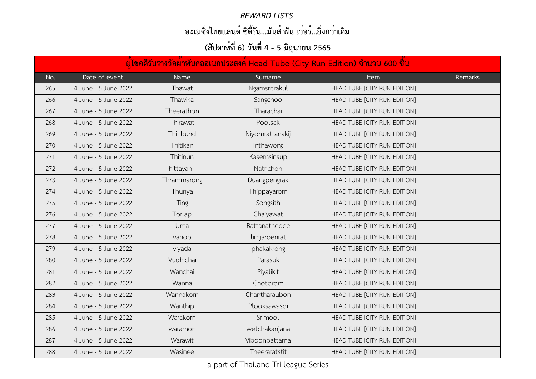#### *REWARD LISTS*

### **อะเมซิ่งไทยแลนด์ ซิตี้รัน...มันส์ ฟัน เว่อร์...ยิ่งกว่าเดิม**

| ้ผู้โชคดีรับรางวัลผ <sup>้</sup> าพันคออเนกประสงค์ Head Tube (City Run Edition) จำนวน 600 ชิ้น |                      |             |                 |                              |         |  |  |
|------------------------------------------------------------------------------------------------|----------------------|-------------|-----------------|------------------------------|---------|--|--|
| No.                                                                                            | Date of event        | <b>Name</b> | Surname         | <b>Item</b>                  | Remarks |  |  |
| 265                                                                                            | 4 June - 5 June 2022 | Thawat      | Ngamsritrakul   | HEAD TUBE [CITY RUN EDITION] |         |  |  |
| 266                                                                                            | 4 June - 5 June 2022 | Thawika     | Sangchoo        | HEAD TUBE [CITY RUN EDITION] |         |  |  |
| 267                                                                                            | 4 June - 5 June 2022 | Theerathon  | Tharachai       | HEAD TUBE [CITY RUN EDITION] |         |  |  |
| 268                                                                                            | 4 June - 5 June 2022 | Thirawat    | Poolsak         | HEAD TUBE [CITY RUN EDITION] |         |  |  |
| 269                                                                                            | 4 June - 5 June 2022 | Thitibund   | Niyomrattanakij | HEAD TUBE [CITY RUN EDITION] |         |  |  |
| 270                                                                                            | 4 June - 5 June 2022 | Thitikan    | Inthawong       | HEAD TUBE [CITY RUN EDITION] |         |  |  |
| 271                                                                                            | 4 June - 5 June 2022 | Thitinun    | Kasemsinsup     | HEAD TUBE [CITY RUN EDITION] |         |  |  |
| 272                                                                                            | 4 June - 5 June 2022 | Thittayan   | Natrichon       | HEAD TUBE [CITY RUN EDITION] |         |  |  |
| 273                                                                                            | 4 June - 5 June 2022 | Thrammarong | Duangpengrak    | HEAD TUBE [CITY RUN EDITION] |         |  |  |
| 274                                                                                            | 4 June - 5 June 2022 | Thunya      | Thippayarom     | HEAD TUBE [CITY RUN EDITION] |         |  |  |
| 275                                                                                            | 4 June - 5 June 2022 | Ting        | Songsith        | HEAD TUBE [CITY RUN EDITION] |         |  |  |
| 276                                                                                            | 4 June - 5 June 2022 | Torlap      | Chaiyawat       | HEAD TUBE [CITY RUN EDITION] |         |  |  |
| 277                                                                                            | 4 June - 5 June 2022 | Uma         | Rattanathepee   | HEAD TUBE [CITY RUN EDITION] |         |  |  |
| 278                                                                                            | 4 June - 5 June 2022 | vanop       | limjaroenrat    | HEAD TUBE [CITY RUN EDITION] |         |  |  |
| 279                                                                                            | 4 June - 5 June 2022 | viyada      | phakakrong      | HEAD TUBE [CITY RUN EDITION] |         |  |  |
| 280                                                                                            | 4 June - 5 June 2022 | Vudhichai   | Parasuk         | HEAD TUBE [CITY RUN EDITION] |         |  |  |
| 281                                                                                            | 4 June - 5 June 2022 | Wanchai     | Piyalikit       | HEAD TUBE [CITY RUN EDITION] |         |  |  |
| 282                                                                                            | 4 June - 5 June 2022 | Wanna       | Chotprom        | HEAD TUBE [CITY RUN EDITION] |         |  |  |
| 283                                                                                            | 4 June - 5 June 2022 | Wannakorn   | Chantharaubon   | HEAD TUBE [CITY RUN EDITION] |         |  |  |
| 284                                                                                            | 4 June - 5 June 2022 | Wanthip     | Plooksawasdi    | HEAD TUBE [CITY RUN EDITION] |         |  |  |
| 285                                                                                            | 4 June - 5 June 2022 | Warakorn    | Srimool         | HEAD TUBE [CITY RUN EDITION] |         |  |  |
| 286                                                                                            | 4 June - 5 June 2022 | waramon     | wetchakanjana   | HEAD TUBE [CITY RUN EDITION] |         |  |  |
| 287                                                                                            | 4 June - 5 June 2022 | Warawit     | Viboonpattama   | HEAD TUBE [CITY RUN EDITION] |         |  |  |
| 288                                                                                            | 4 June - 5 June 2022 | Wasinee     | Theeraratstit   | HEAD TUBE [CITY RUN EDITION] |         |  |  |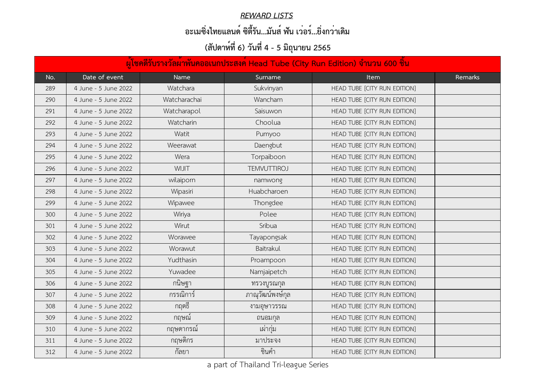#### *REWARD LISTS*

### **อะเมซิ่งไทยแลนด์ ซิตี้รัน...มันส์ ฟัน เว่อร์...ยิ่งกว่าเดิม**

|     | ้ผู้โชคดีรับรางวัลผ <sup>้</sup> าพันคออเนกประสงค <sup>์</sup> Head Tube (City Run Edition) จำนวน 600 ชิ้น |              |                    |                              |         |  |  |  |
|-----|------------------------------------------------------------------------------------------------------------|--------------|--------------------|------------------------------|---------|--|--|--|
| No. | Date of event                                                                                              | <b>Name</b>  | Surname            | <b>Item</b>                  | Remarks |  |  |  |
| 289 | 4 June - 5 June 2022                                                                                       | Watchara     | Sukvinyan          | HEAD TUBE [CITY RUN EDITION] |         |  |  |  |
| 290 | 4 June - 5 June 2022                                                                                       | Watcharachai | Wancham            | HEAD TUBE [CITY RUN EDITION] |         |  |  |  |
| 291 | 4 June - 5 June 2022                                                                                       | Watcharapol  | Saisuwon           | HEAD TUBE [CITY RUN EDITION] |         |  |  |  |
| 292 | 4 June - 5 June 2022                                                                                       | Watcharin    | Choolua            | HEAD TUBE [CITY RUN EDITION] |         |  |  |  |
| 293 | 4 June - 5 June 2022                                                                                       | Watit        | Pumyoo             | HEAD TUBE [CITY RUN EDITION] |         |  |  |  |
| 294 | 4 June - 5 June 2022                                                                                       | Weerawat     | Daengbut           | HEAD TUBE [CITY RUN EDITION] |         |  |  |  |
| 295 | 4 June - 5 June 2022                                                                                       | Wera         | Torpaiboon         | HEAD TUBE [CITY RUN EDITION] |         |  |  |  |
| 296 | 4 June - 5 June 2022                                                                                       | <b>TILIW</b> | <b>TEMVUTTIROJ</b> | HEAD TUBE [CITY RUN EDITION] |         |  |  |  |
| 297 | 4 June - 5 June 2022                                                                                       | wilaiporn    | namwong            | HEAD TUBE [CITY RUN EDITION] |         |  |  |  |
| 298 | 4 June - 5 June 2022                                                                                       | Wipasiri     | Huabcharoen        | HEAD TUBE [CITY RUN EDITION] |         |  |  |  |
| 299 | 4 June - 5 June 2022                                                                                       | Wipawee      | Thongdee           | HEAD TUBE [CITY RUN EDITION] |         |  |  |  |
| 300 | 4 June - 5 June 2022                                                                                       | Wiriya       | Polee              | HEAD TUBE [CITY RUN EDITION] |         |  |  |  |
| 301 | 4 June - 5 June 2022                                                                                       | Wirut        | Sribua             | HEAD TUBE [CITY RUN EDITION] |         |  |  |  |
| 302 | 4 June - 5 June 2022                                                                                       | Worawee      | Tayapongsak        | HEAD TUBE [CITY RUN EDITION] |         |  |  |  |
| 303 | 4 June - 5 June 2022                                                                                       | Worawut      | Baitrakul          | HEAD TUBE [CITY RUN EDITION] |         |  |  |  |
| 304 | 4 June - 5 June 2022                                                                                       | Yudthasin    | Proampoon          | HEAD TUBE [CITY RUN EDITION] |         |  |  |  |
| 305 | 4 June - 5 June 2022                                                                                       | Yuwadee      | Namjaipetch        | HEAD TUBE [CITY RUN EDITION] |         |  |  |  |
| 306 | 4 June - 5 June 2022                                                                                       | กนิษฐา       | ทรวงบูรณกุล        | HEAD TUBE [CITY RUN EDITION] |         |  |  |  |
| 307 | 4 June - 5 June 2022                                                                                       | กรรณิการ์    | ภาณุวัฒน์พงษ์กุล   | HEAD TUBE [CITY RUN EDITION] |         |  |  |  |
| 308 | 4 June - 5 June 2022                                                                                       | ิกฤตธิ       | งามอุษาวรรณ        | HEAD TUBE [CITY RUN EDITION] |         |  |  |  |
| 309 | 4 June - 5 June 2022                                                                                       | กฤษณ์        | ถนอมกุล            | HEAD TUBE [CITY RUN EDITION] |         |  |  |  |
| 310 | 4 June - 5 June 2022                                                                                       | กฤษดากรณ์    | เผากุ่ม            | HEAD TUBE [CITY RUN EDITION] |         |  |  |  |
| 311 | 4 June - 5 June 2022                                                                                       | กฤษติกร      | มาประจง            | HEAD TUBE [CITY RUN EDITION] |         |  |  |  |
| 312 | 4 June - 5 June 2022                                                                                       | กัลยา        | ชินคำ              | HEAD TUBE [CITY RUN EDITION] |         |  |  |  |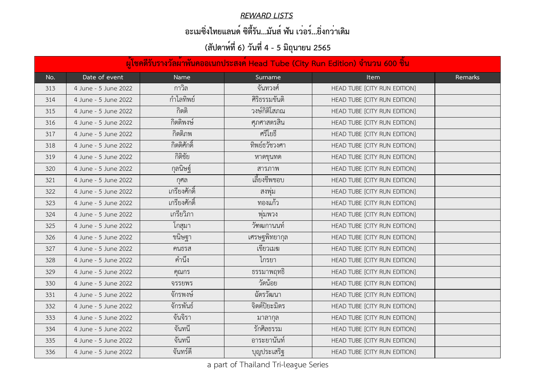#### *REWARD LISTS*

### **อะเมซิ่งไทยแลนด์ ซิตี้รัน...มันส์ ฟัน เว่อร์...ยิ่งกว่าเดิม**

|     | ้ผู้โชคดีรับรางวัลผ <sup>้</sup> าพันคออเนกประสงค์ Head Tube (City Run Edition) จำนวน 600 ชิ้น |                             |               |                              |                |  |  |
|-----|------------------------------------------------------------------------------------------------|-----------------------------|---------------|------------------------------|----------------|--|--|
| No. | Date of event                                                                                  | <b>Name</b>                 | Surname       | <b>Item</b>                  | <b>Remarks</b> |  |  |
| 313 | 4 June - 5 June 2022                                                                           | กาวิล                       | จันทวงศ์      | HEAD TUBE [CITY RUN EDITION] |                |  |  |
| 314 | 4 June - 5 June 2022                                                                           | กำไลทิพย์                   | ศิริธรรมขันติ | HEAD TUBE [CITY RUN EDITION] |                |  |  |
| 315 | 4 June - 5 June 2022                                                                           | กิตติ                       | วงษ์กิติโสภณ  | HEAD TUBE [CITY RUN EDITION] |                |  |  |
| 316 | 4 June - 5 June 2022                                                                           | กิตติพงษ์                   | ศุภศาสตรสิน   | HEAD TUBE [CITY RUN EDITION] |                |  |  |
| 317 | 4 June - 5 June 2022                                                                           | กิตติภพ                     | ศรีโยธี       | HEAD TUBE [CITY RUN EDITION] |                |  |  |
| 318 | 4 June - 5 June 2022                                                                           | กิตติศักดิ์                 | ทิพย์ธวัชวงศา | HEAD TUBE [CITY RUN EDITION] |                |  |  |
| 319 | 4 June - 5 June 2022                                                                           | กิติชัย                     | หาดขุนทด      | HEAD TUBE [CITY RUN EDITION] |                |  |  |
| 320 | 4 June - 5 June 2022                                                                           | กุลนิษฐ์                    | สารภาพ        | HEAD TUBE [CITY RUN EDITION] |                |  |  |
| 321 | 4 June - 5 June 2022                                                                           | ุกศล                        | เลี้ยงชีพชอบ  | HEAD TUBE [CITY RUN EDITION] |                |  |  |
| 322 | 4 June - 5 June 2022                                                                           | เกรียงศักดิ์                | สงพุม         | HEAD TUBE [CITY RUN EDITION] |                |  |  |
| 323 | 4 June - 5 June 2022                                                                           | เกรียงศักดิ์                | ทองแก้ว       | HEAD TUBE [CITY RUN EDITION] |                |  |  |
| 324 | 4 June - 5 June 2022                                                                           | เกรียวิภา                   | พุมพวง        | HEAD TUBE [CITY RUN EDITION] |                |  |  |
| 325 | 4 June - 5 June 2022                                                                           | โกสมา                       | วัฑฒกานนท     | HEAD TUBE [CITY RUN EDITION] |                |  |  |
| 326 | 4 June - 5 June 2022                                                                           | ขนิษฐา                      | เศรษฐพิทยากุล | HEAD TUBE [CITY RUN EDITION] |                |  |  |
| 327 | 4 June - 5 June 2022                                                                           | คนธรส                       | เขียวเมฆ      | HEAD TUBE [CITY RUN EDITION] |                |  |  |
| 328 | 4 June - 5 June 2022                                                                           | $\circ$ $\approx$<br>คำนั่ง | เกรยา         | HEAD TUBE [CITY RUN EDITION] |                |  |  |
| 329 | 4 June - 5 June 2022                                                                           | คุณกร                       | ธรรมาพฤทธิ    | HEAD TUBE [CITY RUN EDITION] |                |  |  |
| 330 | 4 June - 5 June 2022                                                                           | จรรยพร                      | วัดน้อย       | HEAD TUBE [CITY RUN EDITION] |                |  |  |
| 331 | 4 June - 5 June 2022                                                                           | จักรพงษ์                    | ฉัตรวัฒนา     | HEAD TUBE [CITY RUN EDITION] |                |  |  |
| 332 | 4 June - 5 June 2022                                                                           | จักรพันธ์                   | จิตต์ปิยะมิตร | HEAD TUBE [CITY RUN EDITION] |                |  |  |
| 333 | 4 June - 5 June 2022                                                                           | จันจิรา                     | มาลากล        | HEAD TUBE [CITY RUN EDITION] |                |  |  |
| 334 | 4 June - 5 June 2022                                                                           | จันทนี                      | รักศิลธรรม    | HEAD TUBE [CITY RUN EDITION] |                |  |  |
| 335 | 4 June - 5 June 2022                                                                           | จันทนี                      | อาระยานันท์   | HEAD TUBE [CITY RUN EDITION] |                |  |  |
| 336 | 4 June - 5 June 2022                                                                           | จันทร์ดี                    | ึบุญประเสริฐ  | HEAD TUBE [CITY RUN EDITION] |                |  |  |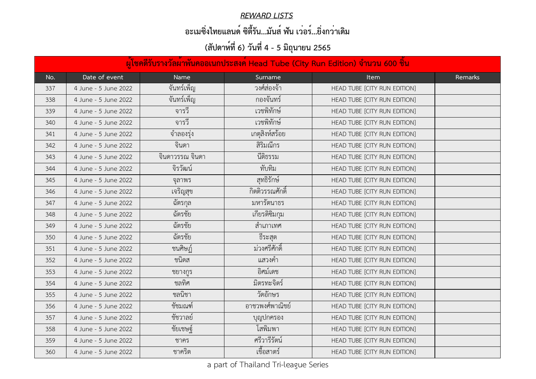#### *REWARD LISTS*

### **อะเมซิ่งไทยแลนด์ ซิตี้รัน...มันส์ ฟัน เว่อร์...ยิ่งกว่าเดิม**

|     | ้ผู้โชคดีรับรางวัลผ <sup>้</sup> าพันคออเนกประสงค์ Head Tube (City Run Edition) จำนวน 600 ชิ้น |                 |                 |                              |                |  |  |
|-----|------------------------------------------------------------------------------------------------|-----------------|-----------------|------------------------------|----------------|--|--|
| No. | Date of event                                                                                  | <b>Name</b>     | Surname         | <b>Item</b>                  | <b>Remarks</b> |  |  |
| 337 | 4 June - 5 June 2022                                                                           | จันทร์เพ็ญ      | วงศ์สองจ้า      | HEAD TUBE [CITY RUN EDITION] |                |  |  |
| 338 | 4 June - 5 June 2022                                                                           | จันทร์เพ็ญ      | กองจันทร์       | HEAD TUBE [CITY RUN EDITION] |                |  |  |
| 339 | 4 June - 5 June 2022                                                                           | จารวี           | เวชพิทักษ์      | HEAD TUBE [CITY RUN EDITION] |                |  |  |
| 340 | 4 June - 5 June 2022                                                                           | จารวี           | เวชพิทักษ์      | HEAD TUBE [CITY RUN EDITION] |                |  |  |
| 341 | 4 June - 5 June 2022                                                                           | จ้าลองรุง       | เกตุสิงห์สร้อย  | HEAD TUBE [CITY RUN EDITION] |                |  |  |
| 342 | 4 June - 5 June 2022                                                                           | จินดา           | สิริมณีกร       | HEAD TUBE [CITY RUN EDITION] |                |  |  |
| 343 | 4 June - 5 June 2022                                                                           | จินดาวรรณ จินดา | นี้ติธรรม       | HEAD TUBE [CITY RUN EDITION] |                |  |  |
| 344 | 4 June - 5 June 2022                                                                           | จิรวัฒน์        | ทับทิม          | HEAD TUBE [CITY RUN EDITION] |                |  |  |
| 345 | 4 June - 5 June 2022                                                                           | ิจลาพร          | สุทธิรักษ์      | HEAD TUBE [CITY RUN EDITION] |                |  |  |
| 346 | 4 June - 5 June 2022                                                                           | เจริญสุข        | กิตติวรรณศักดิ์ | HEAD TUBE [CITY RUN EDITION] |                |  |  |
| 347 | 4 June - 5 June 2022                                                                           | ฉัตรกุล         | มหารัตนาธร      | HEAD TUBE [CITY RUN EDITION] |                |  |  |
| 348 | 4 June - 5 June 2022                                                                           | ฉัตรชัย         | เกียรติซิมกุม   | HEAD TUBE [CITY RUN EDITION] |                |  |  |
| 349 | 4 June - 5 June 2022                                                                           | ฉัตรชัย         | สำเภาเทศ        | HEAD TUBE [CITY RUN EDITION] |                |  |  |
| 350 | 4 June - 5 June 2022                                                                           | ฉัตรชัย         | ธิระสุต         | HEAD TUBE [CITY RUN EDITION] |                |  |  |
| 351 | 4 June - 5 June 2022                                                                           | ชนศิษฏ์         | ม่วงศรีศักดิ์   | HEAD TUBE [CITY RUN EDITION] |                |  |  |
| 352 | 4 June - 5 June 2022                                                                           | ชนดส            | แสวงคำ          | HEAD TUBE [CITY RUN EDITION] |                |  |  |
| 353 | 4 June - 5 June 2022                                                                           | ชยางกูร         | อิศม์เดช        | HEAD TUBE [CITY RUN EDITION] |                |  |  |
| 354 | 4 June - 5 June 2022                                                                           | ชลทิศ           | มิตรทะจิตร์     | HEAD TUBE [CITY RUN EDITION] |                |  |  |
| 355 | 4 June - 5 June 2022                                                                           | ชลนิชา          | วัดอักษร        | HEAD TUBE [CITY RUN EDITION] |                |  |  |
| 356 | 4 June - 5 June 2022                                                                           | ชัชมณฑ์         | อาชวพงศ์พาณิชย์ | HEAD TUBE [CITY RUN EDITION] |                |  |  |
| 357 | 4 June - 5 June 2022                                                                           | ชัชวาลย์        | บุญปกครอง       | HEAD TUBE [CITY RUN EDITION] |                |  |  |
| 358 | 4 June - 5 June 2022                                                                           | ชัยเชษฐ์        | โสพิมพา         | HEAD TUBE [CITY RUN EDITION] |                |  |  |
| 359 | 4 June - 5 June 2022                                                                           | ชาคร            | ศรีวารีรัตน์    | HEAD TUBE [CITY RUN EDITION] |                |  |  |
| 360 | 4 June - 5 June 2022                                                                           | ชาคริต          | เชื้อสาตร์      | HEAD TUBE [CITY RUN EDITION] |                |  |  |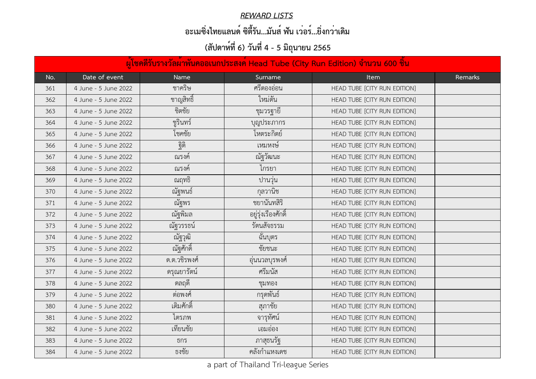#### *REWARD LISTS*

### **อะเมซิ่งไทยแลนด์ ซิตี้รัน...มันส์ ฟัน เว่อร์...ยิ่งกว่าเดิม**

|     | ้ผู้โชคดีรับรางวัลผ <sup>้</sup> าพันคออเนกประสงค์ Head Tube (City Run Edition) จำนวน 600 ชิ้น |             |                     |                              |                |  |  |
|-----|------------------------------------------------------------------------------------------------|-------------|---------------------|------------------------------|----------------|--|--|
| No. | Date of event                                                                                  | <b>Name</b> | Surname             | <b>Item</b>                  | <b>Remarks</b> |  |  |
| 361 | 4 June - 5 June 2022                                                                           | ชาคริษ      | ศรีตองอ่อน          | HEAD TUBE [CITY RUN EDITION] |                |  |  |
| 362 | 4 June - 5 June 2022                                                                           | ชาญสิทธิ์   | ใหม่ตัน             | HEAD TUBE [CITY RUN EDITION] |                |  |  |
| 363 | 4 June - 5 June 2022                                                                           | ชิตชัย      | ชุมวรฐายิ           | HEAD TUBE [CITY RUN EDITION] |                |  |  |
| 364 | 4 June - 5 June 2022                                                                           | ชูรินทร์    | บุญประภากร          | HEAD TUBE [CITY RUN EDITION] |                |  |  |
| 365 | 4 June - 5 June 2022                                                                           | โชคชัย      | โหตระกิตย์          | HEAD TUBE [CITY RUN EDITION] |                |  |  |
| 366 | 4 June - 5 June 2022                                                                           | ฐิติ        | เหมหงษ์             | HEAD TUBE [CITY RUN EDITION] |                |  |  |
| 367 | 4 June - 5 June 2022                                                                           | ณรงค์       | ณีัฐวัฒนะ           | HEAD TUBE [CITY RUN EDITION] |                |  |  |
| 368 | 4 June - 5 June 2022                                                                           | ณรงค์       | ไกรยา               | HEAD TUBE [CITY RUN EDITION] |                |  |  |
| 369 | 4 June - 5 June 2022                                                                           | ณฤทธิ       | ู ปานวุ่น           | HEAD TUBE [CITY RUN EDITION] |                |  |  |
| 370 | 4 June - 5 June 2022                                                                           | ณัฐพนธ์     | กุลวานิช            | HEAD TUBE [CITY RUN EDITION] |                |  |  |
| 371 | 4 June - 5 June 2022                                                                           | ณัฐพร       | ชยานันทสิริ         | HEAD TUBE [CITY RUN EDITION] |                |  |  |
| 372 | 4 June - 5 June 2022                                                                           | ณัฐพิมล     | อยู่รุ่งเรืองศักดิ์ | HEAD TUBE [CITY RUN EDITION] |                |  |  |
| 373 | 4 June - 5 June 2022                                                                           | ณัฐวรรธน์   | รัตนสัจธรรม         | HEAD TUBE [CITY RUN EDITION] |                |  |  |
| 374 | 4 June - 5 June 2022                                                                           | ณัฐวุฒิ     | ฉันบุตร             | HEAD TUBE [CITY RUN EDITION] |                |  |  |
| 375 | 4 June - 5 June 2022                                                                           | ณัฐศักดิ์   | ชัยชนะ              | HEAD TUBE [CITY RUN EDITION] |                |  |  |
| 376 | 4 June - 5 June 2022                                                                           | ด.ต.วชรพงศ์ | อุนนวลบุรพงศ์       | HEAD TUBE [CITY RUN EDITION] |                |  |  |
| 377 | 4 June - 5 June 2022                                                                           | ดรุณยารัตน์ | ศรีมนัส             | HEAD TUBE [CITY RUN EDITION] |                |  |  |
| 378 | 4 June - 5 June 2022                                                                           | ดลฤดี       | ชุมทอง              | HEAD TUBE [CITY RUN EDITION] |                |  |  |
| 379 | 4 June - 5 June 2022                                                                           | ต่อพงศ์     | กรุดพันธ์           | HEAD TUBE [CITY RUN EDITION] |                |  |  |
| 380 | 4 June - 5 June 2022                                                                           | เติมศักดิ์  | สุภาชัย             | HEAD TUBE [CITY RUN EDITION] |                |  |  |
| 381 | 4 June - 5 June 2022                                                                           | ไตรภพ       | จารุทัศน์           | HEAD TUBE [CITY RUN EDITION] |                |  |  |
| 382 | 4 June - 5 June 2022                                                                           | เทียนชัย    | เอมออง              | HEAD TUBE [CITY RUN EDITION] |                |  |  |
| 383 | 4 June - 5 June 2022                                                                           | ธกร         | ุ ภาสุธนรัฐ         | HEAD TUBE [CITY RUN EDITION] |                |  |  |
| 384 | 4 June - 5 June 2022                                                                           | ธงชัย       | ้คลังกำแหงเดช       | HEAD TUBE [CITY RUN EDITION] |                |  |  |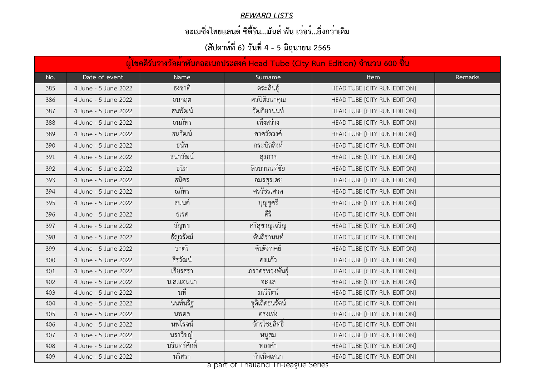#### *REWARD LISTS*

### **อะเมซิ่งไทยแลนด์ ซิตี้รัน...มันส์ ฟัน เว่อร์...ยิ่งกว่าเดิม**

# **(สัปดาห์ที่ 6) วันที่ 4 - 5 มิถุนายน 2565**

|     | ้ผู้โชคดีรับรางวัลผ <sup>้</sup> าพันคออเนกประสงค์ Head Tube (City Run Edition) จำนวน 600 ชิ้น |                   |                                                    |                              |                |  |  |
|-----|------------------------------------------------------------------------------------------------|-------------------|----------------------------------------------------|------------------------------|----------------|--|--|
| No. | Date of event                                                                                  | <b>Name</b>       | Surname                                            | <b>Item</b>                  | <b>Remarks</b> |  |  |
| 385 | 4 June - 5 June 2022                                                                           | ธงชาติ            | ตระสินธุ์                                          | HEAD TUBE [CITY RUN EDITION] |                |  |  |
| 386 | 4 June - 5 June 2022                                                                           | ธนกฤต             | พรปิติธนาคุณ                                       | HEAD TUBE [CITY RUN EDITION] |                |  |  |
| 387 | 4 June - 5 June 2022                                                                           | ธนพัฒน์           | วัฒกียานนท์                                        | HEAD TUBE [CITY RUN EDITION] |                |  |  |
| 388 | 4 June - 5 June 2022                                                                           | ธนภัทร            | เพ็งสว่าง                                          | HEAD TUBE [CITY RUN EDITION] |                |  |  |
| 389 | 4 June - 5 June 2022                                                                           | ธนวัฒน์           | ศาศวัตวงศ์                                         | HEAD TUBE [CITY RUN EDITION] |                |  |  |
| 390 | 4 June - 5 June 2022                                                                           | ธนัท              | กระบิลสิงห์                                        | HEAD TUBE [CITY RUN EDITION] |                |  |  |
| 391 | 4 June - 5 June 2022                                                                           | ธนาวัฒน์          | สรการ                                              | HEAD TUBE [CITY RUN EDITION] |                |  |  |
| 392 | 4 June - 5 June 2022                                                                           | ธนิก              | ลิวนานนท์ชัย                                       | HEAD TUBE [CITY RUN EDITION] |                |  |  |
| 393 | 4 June - 5 June 2022                                                                           | ธนิศร             | อมรสุรเดช                                          | HEAD TUBE [CITY RUN EDITION] |                |  |  |
| 394 | 4 June - 5 June 2022                                                                           | ธภัทร             | ศรวัชรเศวต                                         | HEAD TUBE [CITY RUN EDITION] |                |  |  |
| 395 | 4 June - 5 June 2022                                                                           | ้ธมนต์            | บุญชูศรี                                           | HEAD TUBE [CITY RUN EDITION] |                |  |  |
| 396 | 4 June - 5 June 2022                                                                           | ธเรศ              | คีรี                                               | HEAD TUBE [CITY RUN EDITION] |                |  |  |
| 397 | 4 June - 5 June 2022                                                                           | ธัญพร             | ศรีสุชาญเจริญ                                      | HEAD TUBE [CITY RUN EDITION] |                |  |  |
| 398 | 4 June - 5 June 2022                                                                           | ธัญวรัตม์         | ต้นสิรานนท์                                        | HEAD TUBE [CITY RUN EDITION] |                |  |  |
| 399 | 4 June - 5 June 2022                                                                           | ธาตรี             | ตันติภาคย์                                         | HEAD TUBE [CITY RUN EDITION] |                |  |  |
| 400 | 4 June - 5 June 2022                                                                           | പ ഗ <<br>ธัรวัฒน์ | คงแกว                                              | HEAD TUBE [CITY RUN EDITION] |                |  |  |
| 401 | 4 June - 5 June 2022                                                                           | เธียรธรา          | ภราดรพวงพันธุ์                                     | HEAD TUBE [CITY RUN EDITION] |                |  |  |
| 402 | 4 June - 5 June 2022                                                                           | น.ส.แอนนา         | จะแล                                               | HEAD TUBE [CITY RUN EDITION] |                |  |  |
| 403 | 4 June - 5 June 2022                                                                           | นที               | มณีรัตน์                                           | HEAD TUBE [CITY RUN EDITION] |                |  |  |
| 404 | 4 June - 5 June 2022                                                                           | นนท์นริฐ          | ชุติเลิศธนรัตน์                                    | HEAD TUBE [CITY RUN EDITION] |                |  |  |
| 405 | 4 June - 5 June 2022                                                                           | นพดล              | ตรงเท่ง                                            | HEAD TUBE [CITY RUN EDITION] |                |  |  |
| 406 | 4 June - 5 June 2022                                                                           | นพโรจน์           | จักรไชยสิทธิ์                                      | HEAD TUBE [CITY RUN EDITION] |                |  |  |
| 407 | 4 June - 5 June 2022                                                                           | นราวิชญ์          | หนูสม                                              | HEAD TUBE [CITY RUN EDITION] |                |  |  |
| 408 | 4 June - 5 June 2022                                                                           | นรินทร์ศักดิ์     | ทองคำ                                              | HEAD TUBE [CITY RUN EDITION] |                |  |  |
| 409 | 4 June - 5 June 2022                                                                           | นริศรา            | กำเนิดเสนา<br>s part of Thailand Tri Logguo Sorios | HEAD TUBE [CITY RUN EDITION] |                |  |  |

a part of Thailand Tri-league Series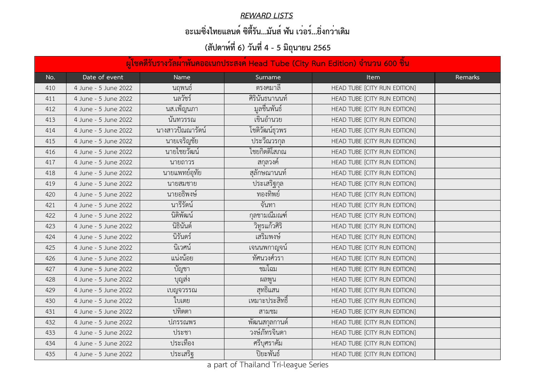#### *REWARD LISTS*

## **อะเมซิ่งไทยแลนด์ ซิตี้รัน...มันส์ ฟัน เว่อร์...ยิ่งกว่าเดิม**

|     | ้ผู้โชคดีรับรางวัลผ้าพันคออเนกประสงค์ Head Tube (City Run Edition) จำนวน 600 ชิ้น |                                |                |                              |         |  |  |  |
|-----|-----------------------------------------------------------------------------------|--------------------------------|----------------|------------------------------|---------|--|--|--|
| No. | Date of event                                                                     | <b>Name</b>                    | Surname        | <b>Item</b>                  | Remarks |  |  |  |
| 410 | 4 June - 5 June 2022                                                              | นฤพนธ์                         | ตรงคมาลี       | HEAD TUBE [CITY RUN EDITION] |         |  |  |  |
| 411 | 4 June - 5 June 2022                                                              | นลวัชร์                        | ศิรินันธนานนท์ | HEAD TUBE [CITY RUN EDITION] |         |  |  |  |
| 412 | 4 June - 5 June 2022                                                              | นส.เพ็ญนภา                     | ้มูลชื่นพันธ์  | HEAD TUBE [CITY RUN EDITION] |         |  |  |  |
| 413 | 4 June - 5 June 2022                                                              | นันทวรรณ                       | เขินอำนวย      | HEAD TUBE [CITY RUN EDITION] |         |  |  |  |
| 414 | 4 June - 5 June 2022                                                              | ุ นางสาวปัณณารัตน <sup>์</sup> | โชติวัฒน์ธุวพร | HEAD TUBE [CITY RUN EDITION] |         |  |  |  |
| 415 | 4 June - 5 June 2022                                                              | นายเจริญชัย                    | ประวีณวรกุล    | HEAD TUBE [CITY RUN EDITION] |         |  |  |  |
| 416 | 4 June - 5 June 2022                                                              | นายไชยวัฒน์                    | ไชยกิตติโสภณ   | HEAD TUBE [CITY RUN EDITION] |         |  |  |  |
| 417 | 4 June - 5 June 2022                                                              | นายถาวร                        | ิสกุลวงค์      | HEAD TUBE [CITY RUN EDITION] |         |  |  |  |
| 418 | 4 June - 5 June 2022                                                              | นายแพทย์อุทัย                  | สุลักษณานนท์   | HEAD TUBE [CITY RUN EDITION] |         |  |  |  |
| 419 | 4 June - 5 June 2022                                                              | นายสมชาย                       | ประเสริฐกุล    | HEAD TUBE [CITY RUN EDITION] |         |  |  |  |
| 420 | 4 June - 5 June 2022                                                              | นายอธิพงษ์                     | ทองทิพย์       | HEAD TUBE [CITY RUN EDITION] |         |  |  |  |
| 421 | 4 June - 5 June 2022                                                              | นารีรัตน์                      | จันทา          | HEAD TUBE [CITY RUN EDITION] |         |  |  |  |
| 422 | 4 June - 5 June 2022                                                              | นิติพัฒน์                      | กุลชามณิมณฑ์   | HEAD TUBE [CITY RUN EDITION] |         |  |  |  |
| 423 | 4 June - 5 June 2022                                                              | นิธินันต์                      | วิทูรแก้วศิริ  | HEAD TUBE [CITY RUN EDITION] |         |  |  |  |
| 424 | 4 June - 5 June 2022                                                              | นิรันดร์                       | เสริมพงษ์      | HEAD TUBE [CITY RUN EDITION] |         |  |  |  |
| 425 | 4 June - 5 June 2022                                                              | นิเวศน์                        | เจนนพกาญจน์    | HEAD TUBE [CITY RUN EDITION] |         |  |  |  |
| 426 | 4 June - 5 June 2022                                                              | แน่งน้อย                       | ทัศนวงศ์วรา    | HEAD TUBE [CITY RUN EDITION] |         |  |  |  |
| 427 | 4 June - 5 June 2022                                                              | บัญชา                          | ชมโฉม          | HEAD TUBE [CITY RUN EDITION] |         |  |  |  |
| 428 | 4 June - 5 June 2022                                                              | บุญส่ง                         | ผลพูน          | HEAD TUBE [CITY RUN EDITION] |         |  |  |  |
| 429 | 4 June - 5 June 2022                                                              | เบญจวรรณ                       | สุทธิแสน       | HEAD TUBE [CITY RUN EDITION] |         |  |  |  |
| 430 | 4 June - 5 June 2022                                                              | ไบเตย                          | เหมาะประสิทธิ์ | HEAD TUBE [CITY RUN EDITION] |         |  |  |  |
| 431 | 4 June - 5 June 2022                                                              | ปทิตตา                         | สามชม          | HEAD TUBE [CITY RUN EDITION] |         |  |  |  |
| 432 | 4 June - 5 June 2022                                                              | ปภรรณพร                        | พัฒนสกุลกานตั  | HEAD TUBE [CITY RUN EDITION] |         |  |  |  |
| 433 | 4 June - 5 June 2022                                                              | ประชา                          | วงษ์ภัทรจินดา  | HEAD TUBE [CITY RUN EDITION] |         |  |  |  |
| 434 | 4 June - 5 June 2022                                                              | ประเทือง                       | ศริบุศราคัม    | HEAD TUBE [CITY RUN EDITION] |         |  |  |  |
| 435 | 4 June - 5 June 2022                                                              | ประเสริฐ                       | ปิยะพันธ์      | HEAD TUBE [CITY RUN EDITION] |         |  |  |  |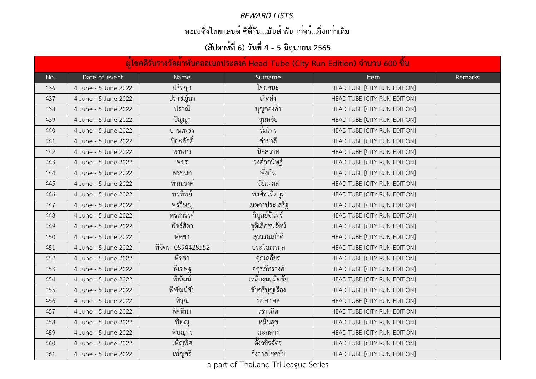#### *REWARD LISTS*

## **อะเมซิ่งไทยแลนด์ ซิตี้รัน...มันส์ ฟัน เว่อร์...ยิ่งกว่าเดิม**

|     | ้ผู้โชคดีรับรางวัลผ <sup>้</sup> าพันคออเนกประสงค์ Head Tube (City Run Edition) จำนวน 600 ชิ้น |                   |                      |                              |         |  |  |
|-----|------------------------------------------------------------------------------------------------|-------------------|----------------------|------------------------------|---------|--|--|
| No. | Date of event                                                                                  | <b>Name</b>       | Surname              | <b>Item</b>                  | Remarks |  |  |
| 436 | 4 June - 5 June 2022                                                                           | ปรัชญา            | ไชยชนะ               | HEAD TUBE [CITY RUN EDITION] |         |  |  |
| 437 | 4 June - 5 June 2022                                                                           | ปราชญ์นา          | เกิดสง               | HEAD TUBE [CITY RUN EDITION] |         |  |  |
| 438 | 4 June - 5 June 2022                                                                           | ปราณี             | บุญกองคำ             | HEAD TUBE [CITY RUN EDITION] |         |  |  |
| 439 | 4 June - 5 June 2022                                                                           | ปัญญา             | ชุนหชัย              | HEAD TUBE [CITY RUN EDITION] |         |  |  |
| 440 | 4 June - 5 June 2022                                                                           | ปานเพชร           | รมไทร                | HEAD TUBE [CITY RUN EDITION] |         |  |  |
| 441 | 4 June - 5 June 2022                                                                           | ปิยะศักดิ์        | ้คำชาลี              | HEAD TUBE [CITY RUN EDITION] |         |  |  |
| 442 | 4 June - 5 June 2022                                                                           | พงษกร             | นิลสวาท              | HEAD TUBE [CITY RUN EDITION] |         |  |  |
| 443 | 4 June - 5 June 2022                                                                           | พชร               | วงศ์อกนิษฐ์          | HEAD TUBE [CITY RUN EDITION] |         |  |  |
| 444 | 4 June - 5 June 2022                                                                           | พรชนก             | พึ่งกัน              | HEAD TUBE [CITY RUN EDITION] |         |  |  |
| 445 | 4 June - 5 June 2022                                                                           | พรณรงค์           | ชัยมงคล              | HEAD TUBE [CITY RUN EDITION] |         |  |  |
| 446 | 4 June - 5 June 2022                                                                           | พรทิพย์           | พงศ์ชวลิตกุล         | HEAD TUBE [CITY RUN EDITION] |         |  |  |
| 447 | 4 June - 5 June 2022                                                                           | พรวิษณุ           | เมตตาประเสริฐ        | HEAD TUBE [CITY RUN EDITION] |         |  |  |
| 448 | 4 June - 5 June 2022                                                                           | พรสวรรค์          | วิบูลย์จันทร์        | HEAD TUBE [CITY RUN EDITION] |         |  |  |
| 449 | 4 June - 5 June 2022                                                                           | พัชร์สิตา         | ชุติเลิศธนรัตน์      | HEAD TUBE [CITY RUN EDITION] |         |  |  |
| 450 | 4 June - 5 June 2022                                                                           | พัดชา             | สุวรรณภักดี          | HEAD TUBE [CITY RUN EDITION] |         |  |  |
| 451 | 4 June - 5 June 2022                                                                           | พิจิตร 0894428552 | <u>้ปร</u> ะวีณวรกุล | HEAD TUBE [CITY RUN EDITION] |         |  |  |
| 452 | 4 June - 5 June 2022                                                                           | พิชชา             | ศุภเสถียร            | HEAD TUBE [CITY RUN EDITION] |         |  |  |
| 453 | 4 June - 5 June 2022                                                                           | พิเชษฐ            | จตุรภัทรวงศ์         | HEAD TUBE [CITY RUN EDITION] |         |  |  |
| 454 | 4 June - 5 June 2022                                                                           | พิพัฒน์           | เหลืองนฤมิตชัย       | HEAD TUBE [CITY RUN EDITION] |         |  |  |
| 455 | 4 June - 5 June 2022                                                                           | พิพัฒน์ชัย        | ชัยศรีบุญเรือง       | HEAD TUBE [CITY RUN EDITION] |         |  |  |
| 456 | 4 June - 5 June 2022                                                                           | พิรุณ             | รักษาพล              | HEAD TUBE [CITY RUN EDITION] |         |  |  |
| 457 | 4 June - 5 June 2022                                                                           | พิศติมา           | เชาวลิต              | HEAD TUBE [CITY RUN EDITION] |         |  |  |
| 458 | 4 June - 5 June 2022                                                                           | พิษณุ             | หมีนสุข              | HEAD TUBE [CITY RUN EDITION] |         |  |  |
| 459 | 4 June - 5 June 2022                                                                           | พิษณุกร           | มะกลาง               | HEAD TUBE [CITY RUN EDITION] |         |  |  |
| 460 | 4 June - 5 June 2022                                                                           | ้เพ็ญพิศ          | ตั้งวขิรฉัตร         | HEAD TUBE [CITY RUN EDITION] |         |  |  |
| 461 | 4 June - 5 June 2022                                                                           | เพ็ญศรี           | กังวาลโชคชัย         | HEAD TUBE [CITY RUN EDITION] |         |  |  |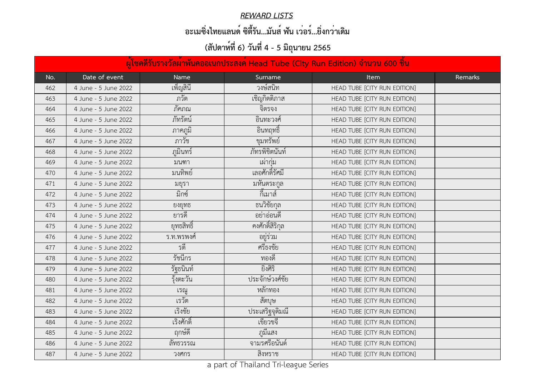#### *REWARD LISTS*

## **อะเมซิ่งไทยแลนด์ ซิตี้รัน...มันส์ ฟัน เว่อร์...ยิ่งกว่าเดิม**

|     | ้ผู้โชคดีรับรางวัลผ <sup>ู้</sup> าพันคออเนกประสงค์ Head Tube (City Run Edition) จำนวน 600 ชิ้น |             |                  |                              |         |  |  |
|-----|-------------------------------------------------------------------------------------------------|-------------|------------------|------------------------------|---------|--|--|
| No. | Date of event                                                                                   | <b>Name</b> | Surname          | <b>Item</b>                  | Remarks |  |  |
| 462 | 4 June - 5 June 2022                                                                            | เพ็ญสินี    | วงษ์สนิท         | HEAD TUBE [CITY RUN EDITION] |         |  |  |
| 463 | 4 June - 5 June 2022                                                                            | ภวัต        | เชิญกิตติภาส     | HEAD TUBE [CITY RUN EDITION] |         |  |  |
| 464 | 4 June - 5 June 2022                                                                            | ภัคภณ       | จิตรจง           | HEAD TUBE [CITY RUN EDITION] |         |  |  |
| 465 | 4 June - 5 June 2022                                                                            | ภัทรัตน์    | ้อินทะวงศ์       | HEAD TUBE [CITY RUN EDITION] |         |  |  |
| 466 | 4 June - 5 June 2022                                                                            | ภาคภูมิ     | ้อินทฤทธิ์       | HEAD TUBE [CITY RUN EDITION] |         |  |  |
| 467 | 4 June - 5 June 2022                                                                            | ภาวัช       | ขุมทรัพย์        | HEAD TUBE [CITY RUN EDITION] |         |  |  |
| 468 | 4 June - 5 June 2022                                                                            | ภูมินทร์    | ภัทรพิชิตนันท์   | HEAD TUBE [CITY RUN EDITION] |         |  |  |
| 469 | 4 June - 5 June 2022                                                                            | มนฑา        | เผ่ากม           | HEAD TUBE [CITY RUN EDITION] |         |  |  |
| 470 | 4 June - 5 June 2022                                                                            | มนทิพย์     | เลอศักดิ์รัศมี   | HEAD TUBE [CITY RUN EDITION] |         |  |  |
| 471 | 4 June - 5 June 2022                                                                            | มยรา        | มหันตระกูล       | HEAD TUBE [CITY RUN EDITION] |         |  |  |
| 472 | 4 June - 5 June 2022                                                                            | มิกซ์       | ึกิเมาส์         | HEAD TUBE [CITY RUN EDITION] |         |  |  |
| 473 | 4 June - 5 June 2022                                                                            | ยงยุทธ      | ธนวิชัยกุล       | HEAD TUBE [CITY RUN EDITION] |         |  |  |
| 474 | 4 June - 5 June 2022                                                                            | ยารดิ       | ้อย่าออนดี       | HEAD TUBE [CITY RUN EDITION] |         |  |  |
| 475 | 4 June - 5 June 2022                                                                            | ยุทธสิทธิ์  | ้คงศักดิ์สิริกุล | HEAD TUBE [CITY RUN EDITION] |         |  |  |
| 476 | 4 June - 5 June 2022                                                                            | ร.ท.พรพงศ์  | อยู่รวม          | HEAD TUBE [CITY RUN EDITION] |         |  |  |
| 477 | 4 June - 5 June 2022                                                                            | รติ         | ศรีธงชัย         | HEAD TUBE [CITY RUN EDITION] |         |  |  |
| 478 | 4 June - 5 June 2022                                                                            | รัชนีกร     | ทองดิ            | HEAD TUBE [CITY RUN EDITION] |         |  |  |
| 479 | 4 June - 5 June 2022                                                                            | รัฐธนินท์   | ยิงศิริ          | HEAD TUBE [CITY RUN EDITION] |         |  |  |
| 480 | 4 June - 5 June 2022                                                                            | รุ้งตะวัน   | ประจักษ์วงศ์ชัย  | HEAD TUBE [CITY RUN EDITION] |         |  |  |
| 481 | 4 June - 5 June 2022                                                                            | เรณู        | หลักทอง          | HEAD TUBE [CITY RUN EDITION] |         |  |  |
| 482 | 4 June - 5 June 2022                                                                            | เรวัต       | สัตบุษ           | HEAD TUBE [CITY RUN EDITION] |         |  |  |
| 483 | 4 June - 5 June 2022                                                                            | เริงชัย     | ประเสริฐจุติมณี  | HEAD TUBE [CITY RUN EDITION] |         |  |  |
| 484 | 4 June - 5 June 2022                                                                            | เริงศักดิ์  | เขียวขจี         | HEAD TUBE [CITY RUN EDITION] |         |  |  |
| 485 | 4 June - 5 June 2022                                                                            | ฤกษ์ดี      | ภูมิแสง          | HEAD TUBE [CITY RUN EDITION] |         |  |  |
| 486 | 4 June - 5 June 2022                                                                            | ลัทธวรรณ    | ้จามรศรีอนันต์   | HEAD TUBE [CITY RUN EDITION] |         |  |  |
| 487 | 4 June - 5 June 2022                                                                            | วงศกร       | สิงหราช          | HEAD TUBE [CITY RUN EDITION] |         |  |  |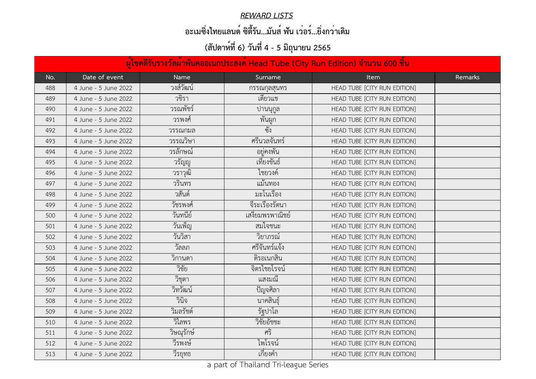#### *REWARD LISTS*

## **อะเมซิ่งไทยแลนด์ ซิตี้รัน...มันส์ ฟัน เว่อร์...ยิ่งกว่าเดิม**

|     | ้ผ <sup>ู้</sup> เข <sub>็</sub> คดีรับรางวัลผ <sup>้</sup> าพันคออเนกประสงค์ Head Tube (City Run Edition) จำนวน 600 ขึ้น |            |                 |                              |         |  |  |  |
|-----|---------------------------------------------------------------------------------------------------------------------------|------------|-----------------|------------------------------|---------|--|--|--|
| No. | Date of event                                                                                                             | Name       | Surname         | <b>Item</b>                  | Remarks |  |  |  |
| 488 | 4 June - 5 June 2022                                                                                                      | วงส์วัฒน์  | กรรณกุลสุนทร    | HEAD TUBE [CITY RUN EDITION] |         |  |  |  |
| 489 | 4 June - 5 June 2022                                                                                                      | วชีรา      | เตียวแช         | HEAD TUBE [CITY RUN EDITION] |         |  |  |  |
| 490 | 4 June - 5 June 2022                                                                                                      | วรณพัชร์   | ปานนุกูล        | HEAD TUBE [CITY RUN EDITION] |         |  |  |  |
| 491 | 4 June - 5 June 2022                                                                                                      | วรพงศ์     | พันผูก          | HEAD TUBE [CITY RUN EDITION] |         |  |  |  |
| 492 | 4 June - 5 June 2022                                                                                                      | วรรณกมล    | ซัง             | HEAD TUBE [CITY RUN EDITION] |         |  |  |  |
| 493 | 4 June - 5 June 2022                                                                                                      | วรรณวิษา   | ศรีนวลจันทร์    | HEAD TUBE [CITY RUN EDITION] |         |  |  |  |
| 494 | 4 June - 5 June 2022                                                                                                      | วรลักษณ์   | ้อยู่คงพัน      | HEAD TUBE [CITY RUN EDITION] |         |  |  |  |
| 495 | 4 June - 5 June 2022                                                                                                      | วรัญญู     | เที่ยงขันธ์     | HEAD TUBE [CITY RUN EDITION] |         |  |  |  |
| 496 | 4 June - 5 June 2022                                                                                                      | วราวุฒิ    | ไชยวงค์         | HEAD TUBE [CITY RUN EDITION] |         |  |  |  |
| 497 | 4 June - 5 June 2022                                                                                                      | วรินทร     | แม้นทอง         | HEAD TUBE [CITY RUN EDITION] |         |  |  |  |
| 498 | 4 June - 5 June 2022                                                                                                      | วสันต์     | มะโนเรื่อง      | HEAD TUBE [CITY RUN EDITION] |         |  |  |  |
| 499 | 4 June - 5 June 2022                                                                                                      | วัชรพงศ์   | จีระเรื่องรัตนา | HEAD TUBE [CITY RUN EDITION] |         |  |  |  |
| 500 | 4 June - 5 June 2022                                                                                                      | วันทนีย์   | เสงียมพรพาณิชย์ | HEAD TUBE [CITY RUN EDITION] |         |  |  |  |
| 501 | 4 June - 5 June 2022                                                                                                      | วันเพ็ญ    | สมใจชนะ         | HEAD TUBE [CITY RUN EDITION] |         |  |  |  |
| 502 | 4 June - 5 June 2022                                                                                                      | วันวิสา    | วิยาภรณ์        | HEAD TUBE [CITY RUN EDITION] |         |  |  |  |
| 503 | 4 June - 5 June 2022                                                                                                      | วัลลภ      | ศรีจันทร์แจ้ง   | HEAD TUBE [CITY RUN EDITION] |         |  |  |  |
| 504 | 4 June - 5 June 2022                                                                                                      | วิกานดา    | ติรอเนกสิน      | HEAD TUBE [CITY RUN EDITION] |         |  |  |  |
| 505 | 4 June - 5 June 2022                                                                                                      | วิชัย      | จิตรไชยโรจน์    | HEAD TUBE [CITY RUN EDITION] |         |  |  |  |
| 506 | 4 June - 5 June 2022                                                                                                      | วิชุตา     | แสงมณี          | HEAD TUBE [CITY RUN EDITION] |         |  |  |  |
| 507 | 4 June - 5 June 2022                                                                                                      | วิทวัฒน์   | ปัญจศิลา        | HEAD TUBE [CITY RUN EDITION] |         |  |  |  |
| 508 | 4 June - 5 June 2022                                                                                                      | วินิจ      | นาคสินธุ์       | HEAD TUBE [CITY RUN EDITION] |         |  |  |  |
| 509 | 4 June - 5 June 2022                                                                                                      | วิมลรัชต์  | รัฐปาโล         | HEAD TUBE [CITY RUN EDITION] |         |  |  |  |
| 510 | 4 June - 5 June 2022                                                                                                      | วิไลพร     | วิชัยอัชชะ      | HEAD TUBE [CITY RUN EDITION] |         |  |  |  |
| 511 | 4 June - 5 June 2022                                                                                                      | วิษณุรักษ์ | ศริ             | HEAD TUBE [CITY RUN EDITION] |         |  |  |  |
| 512 | 4 June - 5 June 2022                                                                                                      | วีรพงษ์    | ไพโรจน์         | HEAD TUBE [CITY RUN EDITION] |         |  |  |  |
| 513 | 4 June - 5 June 2022                                                                                                      | วีรยุทธ    | เกียงคำ         | HEAD TUBE [CITY RUN EDITION] |         |  |  |  |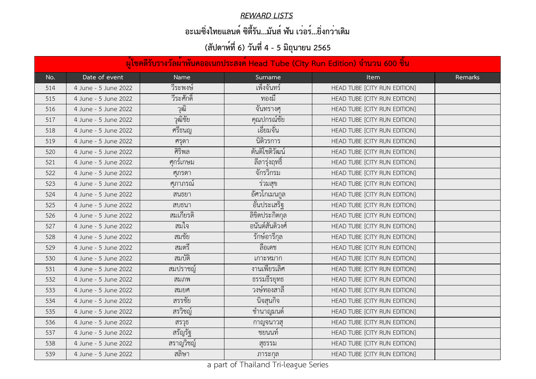#### *REWARD LISTS*

## **อะเมซิ่งไทยแลนด์ ซิตี้รัน...มันส์ ฟัน เว่อร์...ยิ่งกว่าเดิม**

|     | ้ผู้โชคดีรับรางวัลผ <sup>ู้</sup> าพันคออเนกประสงค์ Head Tube (City Run Edition) จำนวน 600 ชิ้น |             |                  |                              |         |  |  |
|-----|-------------------------------------------------------------------------------------------------|-------------|------------------|------------------------------|---------|--|--|
| No. | Date of event                                                                                   | <b>Name</b> | Surname          | <b>Item</b>                  | Remarks |  |  |
| 514 | 4 June - 5 June 2022                                                                            | วีระพงษ์    | เพ็งจันทร์       | HEAD TUBE [CITY RUN EDITION] |         |  |  |
| 515 | 4 June - 5 June 2022                                                                            | วีระศักดิ์  | ทองมิ            | HEAD TUBE [CITY RUN EDITION] |         |  |  |
| 516 | 4 June - 5 June 2022                                                                            | วฒ่         | จันทรางศุ        | HEAD TUBE [CITY RUN EDITION] |         |  |  |
| 517 | 4 June - 5 June 2022                                                                            | วุฒิชัย     | คุณปกรณ์ชัย      | HEAD TUBE [CITY RUN EDITION] |         |  |  |
| 518 | 4 June - 5 June 2022                                                                            | ศรีธนญ      | เอียมจัน         | HEAD TUBE [CITY RUN EDITION] |         |  |  |
| 519 | 4 June - 5 June 2022                                                                            | ศรุดา       | นิติวรการ        | HEAD TUBE [CITY RUN EDITION] |         |  |  |
| 520 | 4 June - 5 June 2022                                                                            | ศิริพล      | ตันติโชติวัฒน์   | HEAD TUBE [CITY RUN EDITION] |         |  |  |
| 521 | 4 June - 5 June 2022                                                                            | ศกร์เกษม    | ลิลารุงฤทธิ      | HEAD TUBE [CITY RUN EDITION] |         |  |  |
| 522 | 4 June - 5 June 2022                                                                            | ศุภรดา      | จั๊กรวิกรม       | HEAD TUBE [CITY RUN EDITION] |         |  |  |
| 523 | 4 June - 5 June 2022                                                                            | ศุภาภรณ์    | รวมสุข           | HEAD TUBE [CITY RUN EDITION] |         |  |  |
| 524 | 4 June - 5 June 2022                                                                            | ิสนธยา      | อัศวโกเมนกูล     | HEAD TUBE [CITY RUN EDITION] |         |  |  |
| 525 | 4 June - 5 June 2022                                                                            | สบธนา       | อันประเสริฐ      | HEAD TUBE [CITY RUN EDITION] |         |  |  |
| 526 | 4 June - 5 June 2022                                                                            | สมเกียรติ   | ลิขิตประกิตกุล   | HEAD TUBE [CITY RUN EDITION] |         |  |  |
| 527 | 4 June - 5 June 2022                                                                            | ิสมไจ       | ้อนันต์สันติวงศ์ | HEAD TUBE [CITY RUN EDITION] |         |  |  |
| 528 | 4 June - 5 June 2022                                                                            | สมชัย       | รักษ์อารีกุล     | HEAD TUBE [CITY RUN EDITION] |         |  |  |
| 529 | 4 June - 5 June 2022                                                                            | สมตร์       | ลิอเดช           | HEAD TUBE [CITY RUN EDITION] |         |  |  |
| 530 | 4 June - 5 June 2022                                                                            | สมบัติ      | เกาะหมาก         | HEAD TUBE [CITY RUN EDITION] |         |  |  |
| 531 | 4 June - 5 June 2022                                                                            | สมปราชญ์    | งานเพียรเลิศ     | HEAD TUBE [CITY RUN EDITION] |         |  |  |
| 532 | 4 June - 5 June 2022                                                                            | สมภพ        | ธรรมธีรยุทธ      | HEAD TUBE [CITY RUN EDITION] |         |  |  |
| 533 | 4 June - 5 June 2022                                                                            | สมยศ        | วงษ์ทองสาลี      | HEAD TUBE [CITY RUN EDITION] |         |  |  |
| 534 | 4 June - 5 June 2022                                                                            | สรรชัย      | นิจสุนกิจ        | HEAD TUBE [CITY RUN EDITION] |         |  |  |
| 535 | 4 June - 5 June 2022                                                                            | สรวิชญ์     | ช้านาญมนต์       | HEAD TUBE [CITY RUN EDITION] |         |  |  |
| 536 | 4 June - 5 June 2022                                                                            | สรวุธ       | กาญจนาวสุ        | HEAD TUBE [CITY RUN EDITION] |         |  |  |
| 537 | 4 June - 5 June 2022                                                                            | สรัญรัฐ     | ชยนนท์           | HEAD TUBE [CITY RUN EDITION] |         |  |  |
| 538 | 4 June - 5 June 2022                                                                            | สราญวิชญ์   | สุธรรม           | HEAD TUBE [CITY RUN EDITION] |         |  |  |
| 539 | 4 June - 5 June 2022                                                                            | สลิษา       | ภาระกุล          | HEAD TUBE [CITY RUN EDITION] |         |  |  |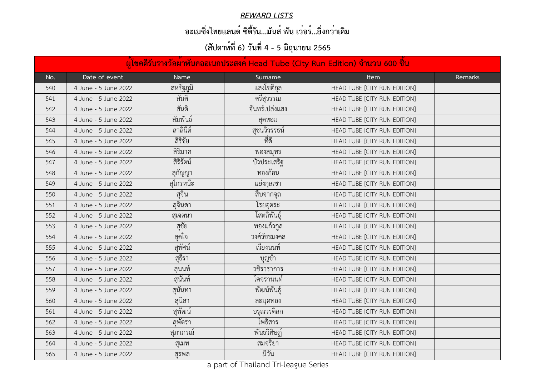#### *REWARD LISTS*

## **อะเมซิ่งไทยแลนด์ ซิตี้รัน...มันส์ ฟัน เว่อร์...ยิ่งกว่าเดิม**

|     | ้ผู้โชคดีรับรางวัลผ้าพันคออเนกประสงค์ Head Tube (City Run Edition) จำนวน 600 ชิ้น |             |                |                              |         |  |  |
|-----|-----------------------------------------------------------------------------------|-------------|----------------|------------------------------|---------|--|--|
| No. | Date of event                                                                     | <b>Name</b> | Surname        | <b>Item</b>                  | Remarks |  |  |
| 540 | 4 June - 5 June 2022                                                              | สหรัฐภูมิ   | แสงโชติกุล     | HEAD TUBE [CITY RUN EDITION] |         |  |  |
| 541 | 4 June - 5 June 2022                                                              | สันติ       | ิตรีสุวรรณ     | HEAD TUBE [CITY RUN EDITION] |         |  |  |
| 542 | 4 June - 5 June 2022                                                              | สันติ       | จันทร์เปล่งแสง | HEAD TUBE [CITY RUN EDITION] |         |  |  |
| 543 | 4 June - 5 June 2022                                                              | สัมพันธ์    | สุดหอม         | HEAD TUBE [CITY RUN EDITION] |         |  |  |
| 544 | 4 June - 5 June 2022                                                              | สาลินีต์    | สุชนวิวรรธน์   | HEAD TUBE [CITY RUN EDITION] |         |  |  |
| 545 | 4 June - 5 June 2022                                                              | สิริชัย     | ที่ดี          | HEAD TUBE [CITY RUN EDITION] |         |  |  |
| 546 | 4 June - 5 June 2022                                                              | สิริมาศ     | ฟองสมุทร       | HEAD TUBE [CITY RUN EDITION] |         |  |  |
| 547 | 4 June - 5 June 2022                                                              | สิริรัตน์   | บัวประเสริฐ    | HEAD TUBE [CITY RUN EDITION] |         |  |  |
| 548 | 4 June - 5 June 2022                                                              | สุกัญญา     | ทองก้อน        | HEAD TUBE [CITY RUN EDITION] |         |  |  |
| 549 | 4 June - 5 June 2022                                                              | สุโกรหน้ะ   | แยงกุลเชา      | HEAD TUBE [CITY RUN EDITION] |         |  |  |
| 550 | 4 June - 5 June 2022                                                              | สุจิน       | ้สีบจากจุล     | HEAD TUBE [CITY RUN EDITION] |         |  |  |
| 551 | 4 June - 5 June 2022                                                              | สุจินดา     | โรยอุตระ       | HEAD TUBE [CITY RUN EDITION] |         |  |  |
| 552 | 4 June - 5 June 2022                                                              | สุเจตนา     | โสตถิพันธุ์    | HEAD TUBE [CITY RUN EDITION] |         |  |  |
| 553 | 4 June - 5 June 2022                                                              | สูชัย       | ทองแก้วกูล     | HEAD TUBE [CITY RUN EDITION] |         |  |  |
| 554 | 4 June - 5 June 2022                                                              | ิสฺดไจ      | วงศ์วัชรมงคล   | HEAD TUBE [CITY RUN EDITION] |         |  |  |
| 555 | 4 June - 5 June 2022                                                              | สุทัศน์     | เวียงนนท์      | HEAD TUBE [CITY RUN EDITION] |         |  |  |
| 556 | 4 June - 5 June 2022                                                              | สุธีรา      | บุญข้า         | HEAD TUBE [CITY RUN EDITION] |         |  |  |
| 557 | 4 June - 5 June 2022                                                              | ้สุนนท์     | วชิรวราการ     | HEAD TUBE [CITY RUN EDITION] |         |  |  |
| 558 | 4 June - 5 June 2022                                                              | สุนันท์     | โคจรานนท์      | HEAD TUBE [CITY RUN EDITION] |         |  |  |
| 559 | 4 June - 5 June 2022                                                              | สุนันทา     | พัฒน์พันธุ์    | HEAD TUBE [CITY RUN EDITION] |         |  |  |
| 560 | 4 June - 5 June 2022                                                              | สุนิสา      | ละมุดทอง       | HEAD TUBE [CITY RUN EDITION] |         |  |  |
| 561 | 4 June - 5 June 2022                                                              | สุพัฒน์     | ้อรุณวรดิลก    | HEAD TUBE [CITY RUN EDITION] |         |  |  |
| 562 | 4 June - 5 June 2022                                                              | สุพัตรา     | โพธิสาร        | HEAD TUBE [CITY RUN EDITION] |         |  |  |
| 563 | 4 June - 5 June 2022                                                              | สุภาภรณ์    | พื้นธวิศิษฏ์   | HEAD TUBE [CITY RUN EDITION] |         |  |  |
| 564 | 4 June - 5 June 2022                                                              | สุเมท       | สมจริยา        | HEAD TUBE [CITY RUN EDITION] |         |  |  |
| 565 | 4 June - 5 June 2022                                                              | สุรพล       | มีวัน          | HEAD TUBE [CITY RUN EDITION] |         |  |  |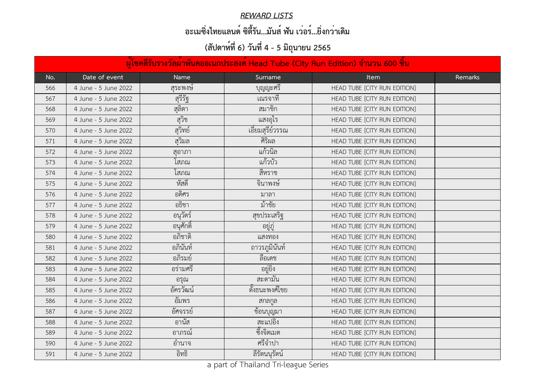#### *REWARD LISTS*

## **อะเมซิ่งไทยแลนด์ ซิตี้รัน...มันส์ ฟัน เว่อร์...ยิ่งกว่าเดิม**

|     | ้ผู้โชคดีรับรางวัลผ <sup>้</sup> าพันคออเนกประสงค <sup>์</sup> Head Tube (City Run Edition) จำนวน 600 ชิ้น |             |                  |                              |         |  |  |
|-----|------------------------------------------------------------------------------------------------------------|-------------|------------------|------------------------------|---------|--|--|
| No. | Date of event                                                                                              | <b>Name</b> | Surname          | <b>Item</b>                  | Remarks |  |  |
| 566 | 4 June - 5 June 2022                                                                                       | สุระพงษ์    | บุญญะศรี         | HEAD TUBE [CITY RUN EDITION] |         |  |  |
| 567 | 4 June - 5 June 2022                                                                                       | สุรีรัฐ     | ้เณรจาที         | HEAD TUBE [CITY RUN EDITION] |         |  |  |
| 568 | 4 June - 5 June 2022                                                                                       | สลัตา       | ิสมาชิก          | HEAD TUBE [CITY RUN EDITION] |         |  |  |
| 569 | 4 June - 5 June 2022                                                                                       | สุวิช       | แสงอุไร          | HEAD TUBE [CITY RUN EDITION] |         |  |  |
| 570 | 4 June - 5 June 2022                                                                                       | สุวิทย์     | เอี่ยมสุรีย์วรรณ | HEAD TUBE [CITY RUN EDITION] |         |  |  |
| 571 | 4 June - 5 June 2022                                                                                       | สุวิมล      | ศิริผล           | HEAD TUBE [CITY RUN EDITION] |         |  |  |
| 572 | 4 June - 5 June 2022                                                                                       | สุอาภา      | แก้วนิล          | HEAD TUBE [CITY RUN EDITION] |         |  |  |
| 573 | 4 June - 5 June 2022                                                                                       | เสภณ        | แก้วบัว          | HEAD TUBE [CITY RUN EDITION] |         |  |  |
| 574 | 4 June - 5 June 2022                                                                                       | โสภณ        | สีหราช           | HEAD TUBE [CITY RUN EDITION] |         |  |  |
| 575 | 4 June - 5 June 2022                                                                                       | หัสดี       | จินาพงษ์         | HEAD TUBE [CITY RUN EDITION] |         |  |  |
| 576 | 4 June - 5 June 2022                                                                                       | อดิศร       | มาลา             | HEAD TUBE [CITY RUN EDITION] |         |  |  |
| 577 | 4 June - 5 June 2022                                                                                       | อธิชา       | ม้าชัย           | HEAD TUBE [CITY RUN EDITION] |         |  |  |
| 578 | 4 June - 5 June 2022                                                                                       | ้อนุวัตร์   | สุขประเสริฐ      | HEAD TUBE [CITY RUN EDITION] |         |  |  |
| 579 | 4 June - 5 June 2022                                                                                       | ้อนุศักดิ์  | อยูฏ             | HEAD TUBE [CITY RUN EDITION] |         |  |  |
| 580 | 4 June - 5 June 2022                                                                                       | อภิชาติ     | แสงทอง           | HEAD TUBE [CITY RUN EDITION] |         |  |  |
| 581 | 4 June - 5 June 2022                                                                                       | อภินันท์    | ถาวรภูมินั้นท์   | HEAD TUBE [CITY RUN EDITION] |         |  |  |
| 582 | 4 June - 5 June 2022                                                                                       | อภิรมย์     | ลือเดช           | HEAD TUBE [CITY RUN EDITION] |         |  |  |
| 583 | 4 June - 5 June 2022                                                                                       | อร่ามศรี    | อยู่ยิง          | HEAD TUBE [CITY RUN EDITION] |         |  |  |
| 584 | 4 June - 5 June 2022                                                                                       | อรุณ        | สะตามัน          | HEAD TUBE [CITY RUN EDITION] |         |  |  |
| 585 | 4 June - 5 June 2022                                                                                       | อัครวัฒน์   | ตั้งธนะพงศ์ไชย   | HEAD TUBE [CITY RUN EDITION] |         |  |  |
| 586 | 4 June - 5 June 2022                                                                                       | อัมพร       | ิสกลกูล          | HEAD TUBE [CITY RUN EDITION] |         |  |  |
| 587 | 4 June - 5 June 2022                                                                                       | อัศจรรย์    | ช้อนบุญมา        | HEAD TUBE [CITY RUN EDITION] |         |  |  |
| 588 | 4 June - 5 June 2022                                                                                       | อานัส       | สะแปอิง          | HEAD TUBE [CITY RUN EDITION] |         |  |  |
| 589 | 4 June - 5 June 2022                                                                                       | อาภรณ์      | ซึ่งจิตเมต       | HEAD TUBE [CITY RUN EDITION] |         |  |  |
| 590 | 4 June - 5 June 2022                                                                                       | อำนาจ       | ศรีจำปา          | HEAD TUBE [CITY RUN EDITION] |         |  |  |
| 591 | 4 June - 5 June 2022                                                                                       | อิทธิ       | ลิรัตนนุรัตน์    | HEAD TUBE [CITY RUN EDITION] |         |  |  |